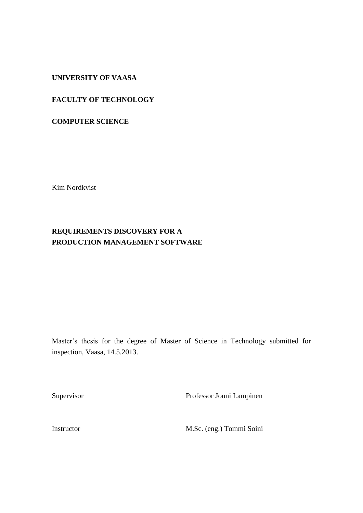# **UNIVERSITY OF VAASA**

# **FACULTY OF TECHNOLOGY**

## **COMPUTER SCIENCE**

Kim Nordkvist

# **REQUIREMENTS DISCOVERY FOR A PRODUCTION MANAGEMENT SOFTWARE**

Master's thesis for the degree of Master of Science in Technology submitted for inspection, Vaasa, 14.5.2013.

Supervisor Professor Jouni Lampinen

Instructor M.Sc. (eng.) Tommi Soini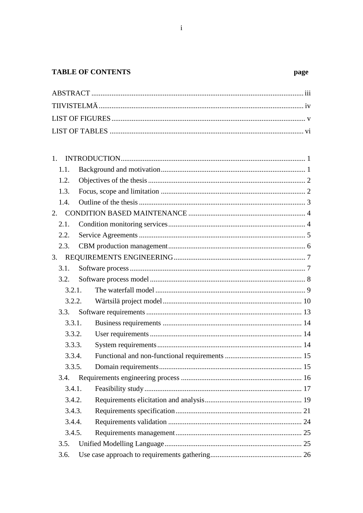# **TABLE OF CONTENTS**

page

| 1 <sub>1</sub> |  |
|----------------|--|
| 1.1.           |  |
| 1.2.           |  |
| 1.3.           |  |
| 1.4.           |  |
|                |  |
| 2.1.           |  |
| 2.2.           |  |
| 2.3.           |  |
|                |  |
| 3.1.           |  |
| 3.2.           |  |
| 3.2.1.         |  |
| 3.2.2.         |  |
| 3.3.           |  |
| 3.3.1.         |  |
| 3.3.2.         |  |
| 3.3.3.         |  |
| 3.3.4.         |  |
| 3.3.5.         |  |
| 3.4.           |  |
| 3.4.1.         |  |
| 3.4.2.         |  |
| 3.4.3.         |  |
| 3.4.4.         |  |
| 3.4.5.         |  |
| 3.5.           |  |
| 3.6.           |  |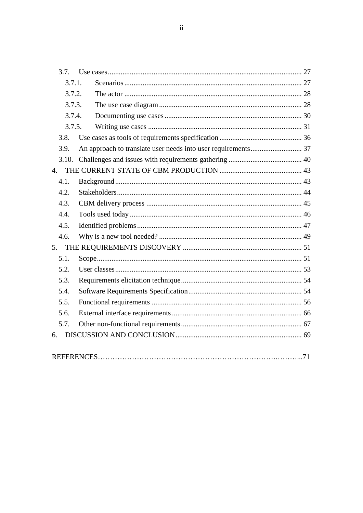$\ddot{\rm ii}$ 

| 3.7.  |        |  |
|-------|--------|--|
|       | 3.7.1. |  |
|       | 3.7.2. |  |
|       | 3.7.3. |  |
|       | 3.7.4. |  |
|       | 3.7.5. |  |
| 3.8.  |        |  |
| 3.9.  |        |  |
| 3.10. |        |  |
| 4.    |        |  |
| 4.1.  |        |  |
| 4.2.  |        |  |
| 4.3.  |        |  |
| 4.4.  |        |  |
| 4.5.  |        |  |
| 4.6.  |        |  |
| 5.    |        |  |
| 5.1.  |        |  |
| 5.2.  |        |  |
| 5.3.  |        |  |
| 5.4.  |        |  |
| 5.5.  |        |  |
| 5.6.  |        |  |
| 5.7.  |        |  |
| 6.    |        |  |
|       |        |  |
|       |        |  |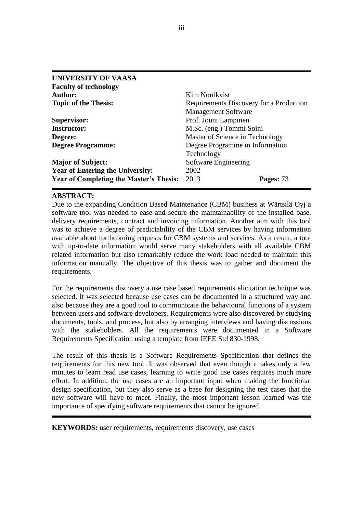| <b>UNIVERSITY OF VAASA</b>                     |                                         |  |
|------------------------------------------------|-----------------------------------------|--|
| <b>Faculty of technology</b>                   |                                         |  |
| <b>Author:</b>                                 | Kim Nordkvist                           |  |
| <b>Topic of the Thesis:</b>                    | Requirements Discovery for a Production |  |
|                                                | <b>Management Software</b>              |  |
| <b>Supervisor:</b>                             | Prof. Jouni Lampinen                    |  |
| <b>Instructor:</b>                             | M.Sc. (eng.) Tommi Soini                |  |
| Degree:                                        | Master of Science in Technology         |  |
| <b>Degree Programme:</b>                       | Degree Programme in Information         |  |
|                                                | Technology                              |  |
| <b>Major of Subject:</b>                       | Software Engineering                    |  |
| <b>Year of Entering the University:</b>        | 2002                                    |  |
| <b>Year of Completing the Master's Thesis:</b> | 2013<br>Pages: 73                       |  |

# **ABSTRACT:**

Due to the expanding Condition Based Maintenance (CBM) business at Wärtsilä Oyj a software tool was needed to ease and secure the maintainability of the installed base, delivery requirements, contract and invoicing information. Another aim with this tool was to achieve a degree of predictability of the CBM services by having information available about forthcoming requests for CBM systems and services. As a result, a tool with up-to-date information would serve many stakeholders with all available CBM related information but also remarkably reduce the work load needed to maintain this information manually. The objective of this thesis was to gather and document the requirements.

For the requirements discovery a use case based requirements elicitation technique was selected. It was selected because use cases can be documented in a structured way and also because they are a good tool to communicate the behavioural functions of a system between users and software developers. Requirements were also discovered by studying documents, tools, and process, but also by arranging interviews and having discussions with the stakeholders. All the requirements were documented in a Software Requirements Specification using a template from IEEE Std 830-1998.

The result of this thesis is a Software Requirements Specification that defines the requirements for this new tool. It was observed that even though it takes only a few minutes to learn read use cases, learning to write good use cases requires much more effort. In addition, the use cases are an important input when making the functional design specification, but they also serve as a base for designing the test cases that the new software will have to meet. Finally, the most important lesson learned was the importance of specifying software requirements that cannot be ignored.

**KEYWORDS:** user requirements, requirements discovery, use cases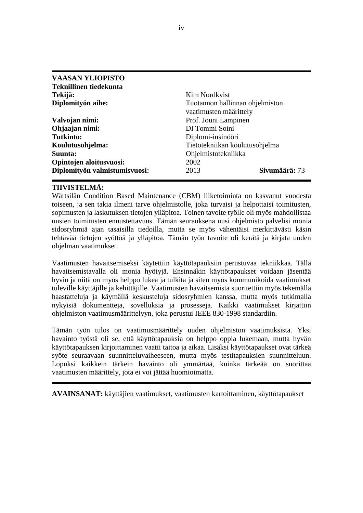| <b>VAASAN YLIOPISTO</b>       |                                                           |
|-------------------------------|-----------------------------------------------------------|
| <b>Teknillinen tiedekunta</b> |                                                           |
| Tekijä:                       | Kim Nordkvist                                             |
| Diplomityön aihe:             | Tuotannon hallinnan ohjelmiston<br>vaatimusten määrittely |
| Valvojan nimi:                | Prof. Jouni Lampinen                                      |
| Ohjaajan nimi:                | DI Tommi Soini                                            |
| <b>Tutkinto:</b>              | Diplomi-insinööri                                         |
| Koulutusohjelma:              | Tietotekniikan koulutusohjelma                            |
| Suunta:                       | Ohjelmistotekniikka                                       |
| Opintojen aloitusvuosi:       | 2002                                                      |
| Diplomityön valmistumisvuosi: | Sivumäärä: 73<br>2013                                     |

# **TIIVISTELMÄ:**

Wärtsilän Condition Based Maintenance (CBM) liiketoiminta on kasvanut vuodesta toiseen, ja sen takia ilmeni tarve ohjelmistolle, joka turvaisi ja helpottaisi toimitusten, sopimusten ja laskutuksen tietojen ylläpitoa. Toinen tavoite työlle oli myös mahdollistaa uusien toimitusten ennustettavuus. Tämän seurauksena uusi ohjelmisto palvelisi monia sidosryhmiä ajan tasaisilla tiedoilla, mutta se myös vähentäisi merkittävästi käsin tehtävää tietojen syöttöä ja ylläpitoa. Tämän työn tavoite oli kerätä ja kirjata uuden ohjelman vaatimukset.

Vaatimusten havaitsemiseksi käytettiin käyttötapauksiin perustuvaa tekniikkaa. Tällä havaitsemistavalla oli monia hyötyjä. Ensinnäkin käyttötapaukset voidaan jäsentää hyvin ja niitä on myös helppo lukea ja tulkita ja siten myös kommunikoida vaatimukset tuleville käyttäjille ja kehittäjille. Vaatimusten havaitsemista suoritettiin myös tekemällä haastatteluja ja käymällä keskusteluja sidosryhmien kanssa, mutta myös tutkimalla nykyisiä dokumentteja, sovelluksia ja prosesseja. Kaikki vaatimukset kirjattiin ohjelmiston vaatimusmäärittelyyn, joka perustui IEEE 830-1998 standardiin.

Tämän työn tulos on vaatimusmäärittely uuden ohjelmiston vaatimuksista. Yksi havainto työstä oli se, että käyttötapauksia on helppo oppia lukemaan, mutta hyvän käyttötapauksen kirjoittaminen vaatii taitoa ja aikaa. Lisäksi käyttötapaukset ovat tärkeä syöte seuraavaan suunnitteluvaiheeseen, mutta myös testitapauksien suunnitteluun. Lopuksi kaikkein tärkein havainto oli ymmärtää, kuinka tärkeää on suorittaa vaatimusten määrittely, jota ei voi jättää huomioimatta.

**AVAINSANAT:** käyttäjien vaatimukset, vaatimusten kartoittaminen, käyttötapaukset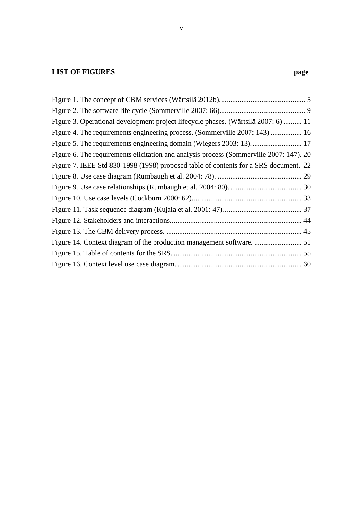# **LIST OF FIGURES** page

| Figure 3. Operational development project lifecycle phases. (Wärtsilä 2007: 6)  11      |  |
|-----------------------------------------------------------------------------------------|--|
| Figure 4. The requirements engineering process. (Sommerville 2007: 143)  16             |  |
| Figure 5. The requirements engineering domain (Wiegers 2003: 13) 17                     |  |
| Figure 6. The requirements elicitation and analysis process (Sommerville 2007: 147). 20 |  |
| Figure 7. IEEE Std 830-1998 (1998) proposed table of contents for a SRS document. 22    |  |
|                                                                                         |  |
|                                                                                         |  |
|                                                                                         |  |
|                                                                                         |  |
|                                                                                         |  |
|                                                                                         |  |
|                                                                                         |  |
|                                                                                         |  |
|                                                                                         |  |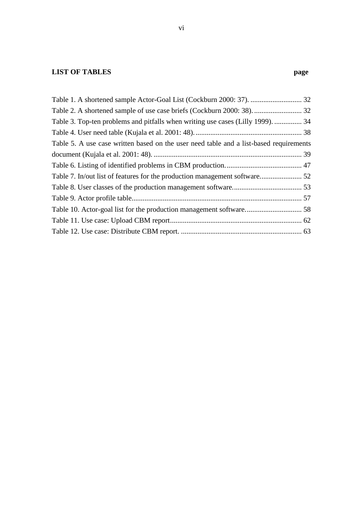# **LIST OF TABLES page**

| Table 3. Top-ten problems and pitfalls when writing use cases (Lilly 1999).  34        |  |
|----------------------------------------------------------------------------------------|--|
|                                                                                        |  |
| Table 5. A use case written based on the user need table and a list-based requirements |  |
|                                                                                        |  |
|                                                                                        |  |
|                                                                                        |  |
|                                                                                        |  |
|                                                                                        |  |
|                                                                                        |  |
|                                                                                        |  |
|                                                                                        |  |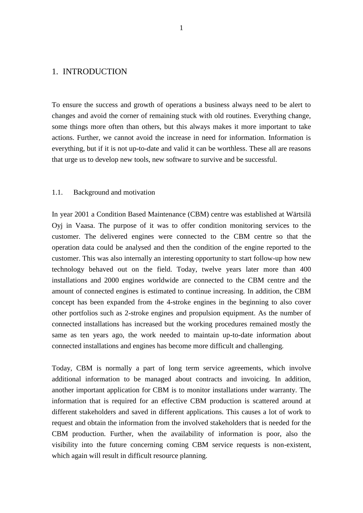# <span id="page-7-0"></span>1. INTRODUCTION

To ensure the success and growth of operations a business always need to be alert to changes and avoid the corner of remaining stuck with old routines. Everything change, some things more often than others, but this always makes it more important to take actions. Further, we cannot avoid the increase in need for information. Information is everything, but if it is not up-to-date and valid it can be worthless. These all are reasons that urge us to develop new tools, new software to survive and be successful.

#### <span id="page-7-1"></span>1.1. Background and motivation

In year 2001 a Condition Based Maintenance (CBM) centre was established at Wärtsilä Oyj in Vaasa. The purpose of it was to offer condition monitoring services to the customer. The delivered engines were connected to the CBM centre so that the operation data could be analysed and then the condition of the engine reported to the customer. This was also internally an interesting opportunity to start follow-up how new technology behaved out on the field. Today, twelve years later more than 400 installations and 2000 engines worldwide are connected to the CBM centre and the amount of connected engines is estimated to continue increasing. In addition, the CBM concept has been expanded from the 4-stroke engines in the beginning to also cover other portfolios such as 2-stroke engines and propulsion equipment. As the number of connected installations has increased but the working procedures remained mostly the same as ten years ago, the work needed to maintain up-to-date information about connected installations and engines has become more difficult and challenging.

Today, CBM is normally a part of long term service agreements, which involve additional information to be managed about contracts and invoicing. In addition, another important application for CBM is to monitor installations under warranty. The information that is required for an effective CBM production is scattered around at different stakeholders and saved in different applications. This causes a lot of work to request and obtain the information from the involved stakeholders that is needed for the CBM production. Further, when the availability of information is poor, also the visibility into the future concerning coming CBM service requests is non-existent, which again will result in difficult resource planning.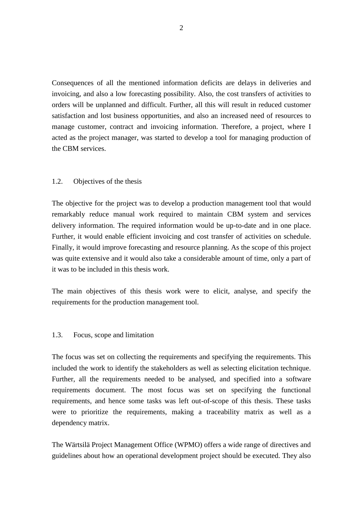Consequences of all the mentioned information deficits are delays in deliveries and invoicing, and also a low forecasting possibility. Also, the cost transfers of activities to orders will be unplanned and difficult. Further, all this will result in reduced customer satisfaction and lost business opportunities, and also an increased need of resources to manage customer, contract and invoicing information. Therefore, a project, where I acted as the project manager, was started to develop a tool for managing production of the CBM services.

# <span id="page-8-0"></span>1.2. Objectives of the thesis

The objective for the project was to develop a production management tool that would remarkably reduce manual work required to maintain CBM system and services delivery information. The required information would be up-to-date and in one place. Further, it would enable efficient invoicing and cost transfer of activities on schedule. Finally, it would improve forecasting and resource planning. As the scope of this project was quite extensive and it would also take a considerable amount of time, only a part of it was to be included in this thesis work.

The main objectives of this thesis work were to elicit, analyse, and specify the requirements for the production management tool.

# <span id="page-8-1"></span>1.3. Focus, scope and limitation

The focus was set on collecting the requirements and specifying the requirements. This included the work to identify the stakeholders as well as selecting elicitation technique. Further, all the requirements needed to be analysed, and specified into a software requirements document. The most focus was set on specifying the functional requirements, and hence some tasks was left out-of-scope of this thesis. These tasks were to prioritize the requirements, making a traceability matrix as well as a dependency matrix.

The Wärtsilä Project Management Office (WPMO) offers a wide range of directives and guidelines about how an operational development project should be executed. They also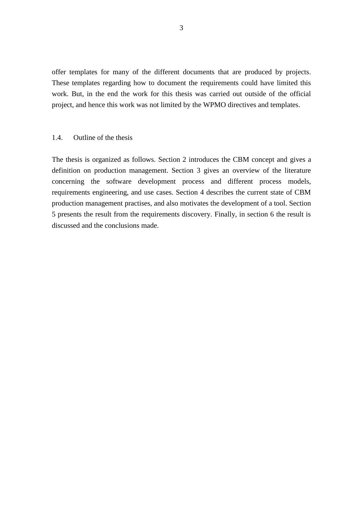offer templates for many of the different documents that are produced by projects. These templates regarding how to document the requirements could have limited this work. But, in the end the work for this thesis was carried out outside of the official project, and hence this work was not limited by the WPMO directives and templates.

### <span id="page-9-0"></span>1.4. Outline of the thesis

The thesis is organized as follows. Section 2 introduces the CBM concept and gives a definition on production management. Section 3 gives an overview of the literature concerning the software development process and different process models, requirements engineering, and use cases. Section 4 describes the current state of CBM production management practises, and also motivates the development of a tool. Section 5 presents the result from the requirements discovery. Finally, in section 6 the result is discussed and the conclusions made.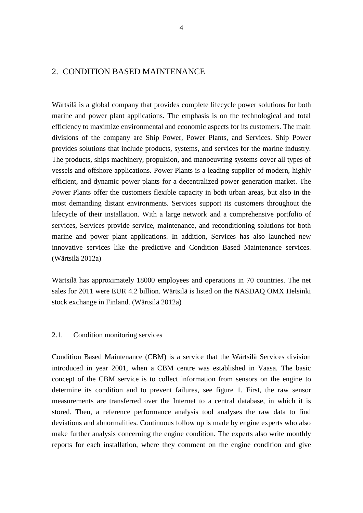# <span id="page-10-0"></span>2. CONDITION BASED MAINTENANCE

Wärtsilä is a global company that provides complete lifecycle power solutions for both marine and power plant applications. The emphasis is on the technological and total efficiency to maximize environmental and economic aspects for its customers. The main divisions of the company are Ship Power, Power Plants, and Services. Ship Power provides solutions that include products, systems, and services for the marine industry. The products, ships machinery, propulsion, and manoeuvring systems cover all types of vessels and offshore applications. Power Plants is a leading supplier of modern, highly efficient, and dynamic power plants for a decentralized power generation market. The Power Plants offer the customers flexible capacity in both urban areas, but also in the most demanding distant environments. Services support its customers throughout the lifecycle of their installation. With a large network and a comprehensive portfolio of services, Services provide service, maintenance, and reconditioning solutions for both marine and power plant applications. In addition, Services has also launched new innovative services like the predictive and Condition Based Maintenance services. (Wärtsilä 2012a)

Wärtsilä has approximately 18000 employees and operations in 70 countries. The net sales for 2011 were EUR 4.2 billion. Wärtsilä is listed on the NASDAQ OMX Helsinki stock exchange in Finland. (Wärtsilä 2012a)

### <span id="page-10-1"></span>2.1. Condition monitoring services

Condition Based Maintenance (CBM) is a service that the Wärtsilä Services division introduced in year 2001, when a CBM centre was established in Vaasa. The basic concept of the CBM service is to collect information from sensors on the engine to determine its condition and to prevent failures, see figure 1. First, the raw sensor measurements are transferred over the Internet to a central database, in which it is stored. Then, a reference performance analysis tool analyses the raw data to find deviations and abnormalities. Continuous follow up is made by engine experts who also make further analysis concerning the engine condition. The experts also write monthly reports for each installation, where they comment on the engine condition and give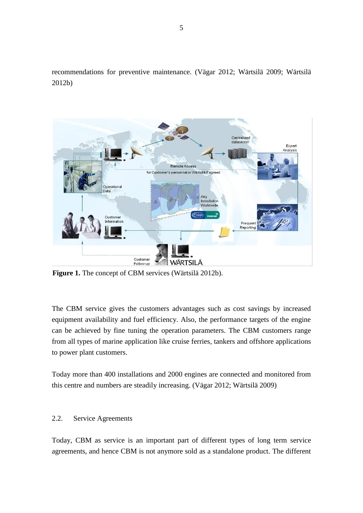recommendations for preventive maintenance. (Vägar 2012; Wärtsilä 2009; Wärtsilä 2012b)



**Figure 1.** The concept of CBM services (Wärtsilä 2012b).

The CBM service gives the customers advantages such as cost savings by increased equipment availability and fuel efficiency. Also, the performance targets of the engine can be achieved by fine tuning the operation parameters. The CBM customers range from all types of marine application like cruise ferries, tankers and offshore applications to power plant customers.

Today more than 400 installations and 2000 engines are connected and monitored from this centre and numbers are steadily increasing. (Vägar 2012; Wärtsilä 2009)

# <span id="page-11-0"></span>2.2. Service Agreements

Today, CBM as service is an important part of different types of long term service agreements, and hence CBM is not anymore sold as a standalone product. The different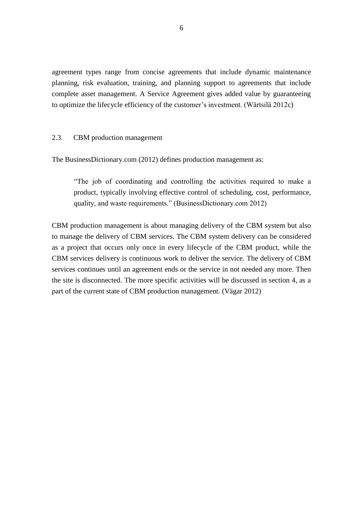agreement types range from concise agreements that include dynamic maintenance planning, risk evaluation, training, and planning support to agreements that include complete asset management. A Service Agreement gives added value by guaranteeing to optimize the lifecycle efficiency of the customer's investment. (Wärtsilä 2012c)

## <span id="page-12-0"></span>2.3. CBM production management

The BusinessDictionary.com (2012) defines production management as:

"The job of coordinating and controlling the activities required to make a product, typically involving effective control of scheduling, cost, performance, quality, and waste requirements." (BusinessDictionary.com 2012)

CBM production management is about managing delivery of the CBM system but also to manage the delivery of CBM services. The CBM system delivery can be considered as a project that occurs only once in every lifecycle of the CBM product, while the CBM services delivery is continuous work to deliver the service. The delivery of CBM services continues until an agreement ends or the service in not needed any more. Then the site is disconnected. The more specific activities will be discussed in section 4, as a part of the current state of CBM production management. (Vägar 2012)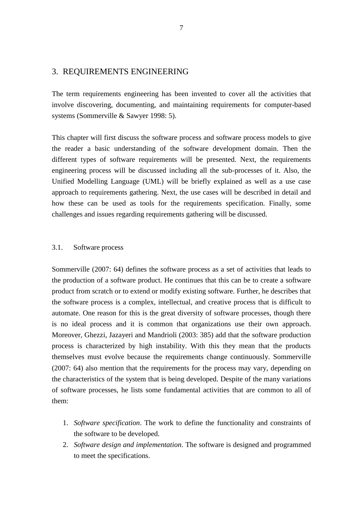# <span id="page-13-0"></span>3. REQUIREMENTS ENGINEERING

The term requirements engineering has been invented to cover all the activities that involve discovering, documenting, and maintaining requirements for computer-based systems (Sommerville & Sawyer 1998: 5).

This chapter will first discuss the software process and software process models to give the reader a basic understanding of the software development domain. Then the different types of software requirements will be presented. Next, the requirements engineering process will be discussed including all the sub-processes of it. Also, the Unified Modelling Language (UML) will be briefly explained as well as a use case approach to requirements gathering. Next, the use cases will be described in detail and how these can be used as tools for the requirements specification. Finally, some challenges and issues regarding requirements gathering will be discussed.

#### <span id="page-13-1"></span>3.1. Software process

Sommerville (2007: 64) defines the software process as a set of activities that leads to the production of a software product. He continues that this can be to create a software product from scratch or to extend or modify existing software. Further, he describes that the software process is a complex, intellectual, and creative process that is difficult to automate. One reason for this is the great diversity of software processes, though there is no ideal process and it is common that organizations use their own approach. Moreover, Ghezzi, Jazayeri and Mandrioli (2003: 385) add that the software production process is characterized by high instability. With this they mean that the products themselves must evolve because the requirements change continuously. Sommerville (2007: 64) also mention that the requirements for the process may vary, depending on the characteristics of the system that is being developed. Despite of the many variations of software processes, he lists some fundamental activities that are common to all of them:

- 1. *Software specification*. The work to define the functionality and constraints of the software to be developed.
- 2. *Software design and implementation*. The software is designed and programmed to meet the specifications.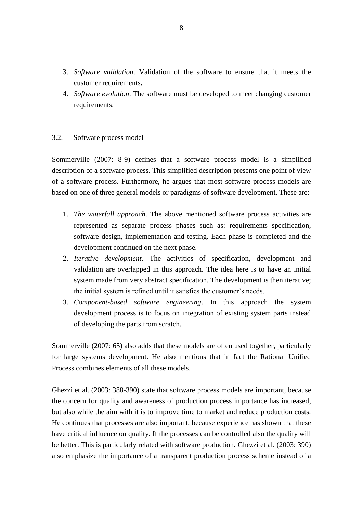- 3. *Software validation*. Validation of the software to ensure that it meets the customer requirements.
- 4. *Software evolution*. The software must be developed to meet changing customer requirements.

# <span id="page-14-0"></span>3.2. Software process model

Sommerville (2007: 8-9) defines that a software process model is a simplified description of a software process. This simplified description presents one point of view of a software process. Furthermore, he argues that most software process models are based on one of three general models or paradigms of software development. These are:

- 1. *The waterfall approach*. The above mentioned software process activities are represented as separate process phases such as: requirements specification, software design, implementation and testing. Each phase is completed and the development continued on the next phase.
- 2. *Iterative development*. The activities of specification, development and validation are overlapped in this approach. The idea here is to have an initial system made from very abstract specification. The development is then iterative; the initial system is refined until it satisfies the customer's needs.
- 3. *Component-based software engineering*. In this approach the system development process is to focus on integration of existing system parts instead of developing the parts from scratch.

Sommerville (2007: 65) also adds that these models are often used together, particularly for large systems development. He also mentions that in fact the Rational Unified Process combines elements of all these models.

Ghezzi et al. (2003: 388-390) state that software process models are important, because the concern for quality and awareness of production process importance has increased, but also while the aim with it is to improve time to market and reduce production costs. He continues that processes are also important, because experience has shown that these have critical influence on quality. If the processes can be controlled also the quality will be better. This is particularly related with software production. Ghezzi et al. (2003: 390) also emphasize the importance of a transparent production process scheme instead of a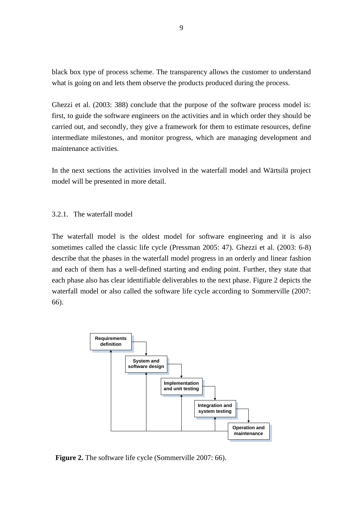black box type of process scheme. The transparency allows the customer to understand what is going on and lets them observe the products produced during the process.

Ghezzi et al. (2003: 388) conclude that the purpose of the software process model is: first, to guide the software engineers on the activities and in which order they should be carried out, and secondly, they give a framework for them to estimate resources, define intermediate milestones, and monitor progress, which are managing development and maintenance activities.

In the next sections the activities involved in the waterfall model and Wärtsilä project model will be presented in more detail.

#### <span id="page-15-0"></span>3.2.1. The waterfall model

The waterfall model is the oldest model for software engineering and it is also sometimes called the classic life cycle (Pressman 2005: 47). Ghezzi et al. (2003: 6-8) describe that the phases in the waterfall model progress in an orderly and linear fashion and each of them has a well-defined starting and ending point. Further, they state that each phase also has clear identifiable deliverables to the next phase. Figure 2 depicts the waterfall model or also called the software life cycle according to Sommerville (2007: 66).



**Figure 2.** The software life cycle (Sommerville 2007: 66).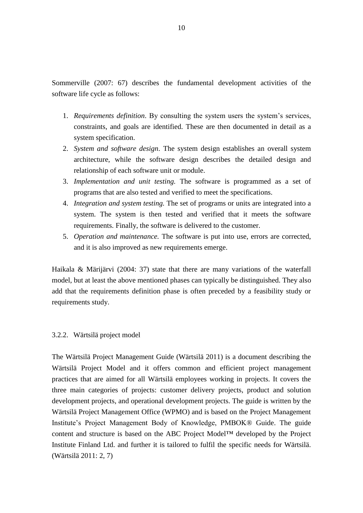Sommerville (2007: 67) describes the fundamental development activities of the software life cycle as follows:

- 1. *Requirements definition*. By consulting the system users the system's services, constraints, and goals are identified. These are then documented in detail as a system specification.
- 2. *System and software design*. The system design establishes an overall system architecture, while the software design describes the detailed design and relationship of each software unit or module.
- 3. *Implementation and unit testing.* The software is programmed as a set of programs that are also tested and verified to meet the specifications.
- 4. *Integration and system testing.* The set of programs or units are integrated into a system. The system is then tested and verified that it meets the software requirements. Finally, the software is delivered to the customer.
- 5. *Operation and maintenance.* The software is put into use, errors are corrected, and it is also improved as new requirements emerge.

Haikala & Märijärvi (2004: 37) state that there are many variations of the waterfall model, but at least the above mentioned phases can typically be distinguished. They also add that the requirements definition phase is often preceded by a feasibility study or requirements study.

#### <span id="page-16-0"></span>3.2.2. Wärtsilä project model

The Wärtsilä Project Management Guide (Wärtsilä 2011) is a document describing the Wärtsilä Project Model and it offers common and efficient project management practices that are aimed for all Wärtsilä employees working in projects. It covers the three main categories of projects: customer delivery projects, product and solution development projects, and operational development projects. The guide is written by the Wärtsilä Project Management Office (WPMO) and is based on the Project Management Institute's Project Management Body of Knowledge, PMBOK® Guide. The guide content and structure is based on the ABC Project Model™ developed by the Project Institute Finland Ltd. and further it is tailored to fulfil the specific needs for Wärtsilä. (Wärtsilä 2011: 2, 7)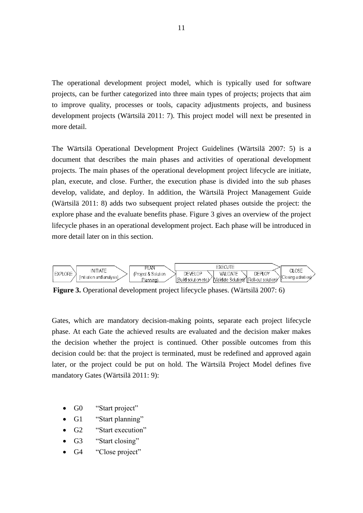The operational development project model, which is typically used for software projects, can be further categorized into three main types of projects; projects that aim to improve quality, processes or tools, capacity adjustments projects, and business development projects (Wärtsilä 2011: 7). This project model will next be presented in more detail.

The Wärtsilä Operational Development Project Guidelines (Wärtsilä 2007: 5) is a document that describes the main phases and activities of operational development projects. The main phases of the operational development project lifecycle are initiate, plan, execute, and close. Further, the execution phase is divided into the sub phases develop, validate, and deploy. In addition, the Wärtsilä Project Management Guide (Wärtsilä 2011: 8) adds two subsequent project related phases outside the project: the explore phase and the evaluate benefits phase. Figure 3 gives an overview of the project lifecycle phases in an operational development project. Each phase will be introduced in more detail later on in this section.



**Figure 3.** Operational development project lifecycle phases. (Wärtsilä 2007: 6)

Gates, which are mandatory decision-making points, separate each project lifecycle phase. At each Gate the achieved results are evaluated and the decision maker makes the decision whether the project is continued. Other possible outcomes from this decision could be: that the project is terminated, must be redefined and approved again later, or the project could be put on hold. The Wärtsilä Project Model defines five mandatory Gates (Wärtsilä 2011: 9):

- G0 "Start project"
- G1 "Start planning"
- G2 "Start execution"
- G3 "Start closing"
- G4 "Close project"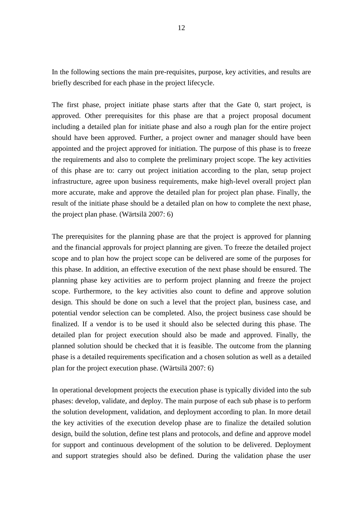In the following sections the main pre-requisites, purpose, key activities, and results are briefly described for each phase in the project lifecycle.

The first phase, project initiate phase starts after that the Gate 0, start project, is approved. Other prerequisites for this phase are that a project proposal document including a detailed plan for initiate phase and also a rough plan for the entire project should have been approved. Further, a project owner and manager should have been appointed and the project approved for initiation. The purpose of this phase is to freeze the requirements and also to complete the preliminary project scope. The key activities of this phase are to: carry out project initiation according to the plan, setup project infrastructure, agree upon business requirements, make high-level overall project plan more accurate, make and approve the detailed plan for project plan phase. Finally, the result of the initiate phase should be a detailed plan on how to complete the next phase, the project plan phase. (Wärtsilä 2007: 6)

The prerequisites for the planning phase are that the project is approved for planning and the financial approvals for project planning are given. To freeze the detailed project scope and to plan how the project scope can be delivered are some of the purposes for this phase. In addition, an effective execution of the next phase should be ensured. The planning phase key activities are to perform project planning and freeze the project scope. Furthermore, to the key activities also count to define and approve solution design. This should be done on such a level that the project plan, business case, and potential vendor selection can be completed. Also, the project business case should be finalized. If a vendor is to be used it should also be selected during this phase. The detailed plan for project execution should also be made and approved. Finally, the planned solution should be checked that it is feasible. The outcome from the planning phase is a detailed requirements specification and a chosen solution as well as a detailed plan for the project execution phase. (Wärtsilä 2007: 6)

In operational development projects the execution phase is typically divided into the sub phases: develop, validate, and deploy. The main purpose of each sub phase is to perform the solution development, validation, and deployment according to plan. In more detail the key activities of the execution develop phase are to finalize the detailed solution design, build the solution, define test plans and protocols, and define and approve model for support and continuous development of the solution to be delivered. Deployment and support strategies should also be defined. During the validation phase the user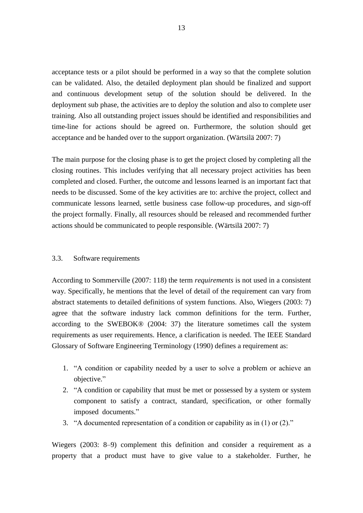acceptance tests or a pilot should be performed in a way so that the complete solution can be validated. Also, the detailed deployment plan should be finalized and support and continuous development setup of the solution should be delivered. In the deployment sub phase, the activities are to deploy the solution and also to complete user training. Also all outstanding project issues should be identified and responsibilities and time-line for actions should be agreed on. Furthermore, the solution should get acceptance and be handed over to the support organization. (Wärtsilä 2007: 7)

The main purpose for the closing phase is to get the project closed by completing all the closing routines. This includes verifying that all necessary project activities has been completed and closed. Further, the outcome and lessons learned is an important fact that needs to be discussed. Some of the key activities are to: archive the project, collect and communicate lessons learned, settle business case follow-up procedures, and sign-off the project formally. Finally, all resources should be released and recommended further actions should be communicated to people responsible. (Wärtsilä 2007: 7)

#### <span id="page-19-0"></span>3.3. Software requirements

According to Sommerville (2007: 118) the term *requirements* is not used in a consistent way. Specifically, he mentions that the level of detail of the requirement can vary from abstract statements to detailed definitions of system functions. Also, Wiegers (2003: 7) agree that the software industry lack common definitions for the term. Further, according to the SWEBOK® (2004: 37) the literature sometimes call the system requirements as user requirements. Hence, a clarification is needed. The IEEE Standard Glossary of Software Engineering Terminology (1990) defines a requirement as:

- 1. "A condition or capability needed by a user to solve a problem or achieve an objective."
- 2. "A condition or capability that must be met or possessed by a system or system component to satisfy a contract, standard, specification, or other formally imposed documents."
- 3. "A documented representation of a condition or capability as in (1) or (2)."

Wiegers (2003: 8–9) complement this definition and consider a requirement as a property that a product must have to give value to a stakeholder. Further, he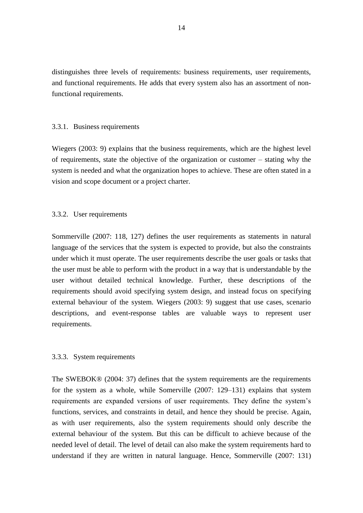distinguishes three levels of requirements: business requirements, user requirements, and functional requirements. He adds that every system also has an assortment of nonfunctional requirements.

#### <span id="page-20-0"></span>3.3.1. Business requirements

Wiegers (2003: 9) explains that the business requirements, which are the highest level of requirements, state the objective of the organization or customer – stating why the system is needed and what the organization hopes to achieve. These are often stated in a vision and scope document or a project charter.

#### <span id="page-20-1"></span>3.3.2. User requirements

Sommerville (2007: 118, 127) defines the user requirements as statements in natural language of the services that the system is expected to provide, but also the constraints under which it must operate. The user requirements describe the user goals or tasks that the user must be able to perform with the product in a way that is understandable by the user without detailed technical knowledge. Further, these descriptions of the requirements should avoid specifying system design, and instead focus on specifying external behaviour of the system. Wiegers (2003: 9) suggest that use cases, scenario descriptions, and event-response tables are valuable ways to represent user requirements.

#### <span id="page-20-2"></span>3.3.3. System requirements

The SWEBOK® (2004: 37) defines that the system requirements are the requirements for the system as a whole, while Somerville (2007: 129–131) explains that system requirements are expanded versions of user requirements. They define the system's functions, services, and constraints in detail, and hence they should be precise. Again, as with user requirements, also the system requirements should only describe the external behaviour of the system. But this can be difficult to achieve because of the needed level of detail. The level of detail can also make the system requirements hard to understand if they are written in natural language. Hence, Sommerville (2007: 131)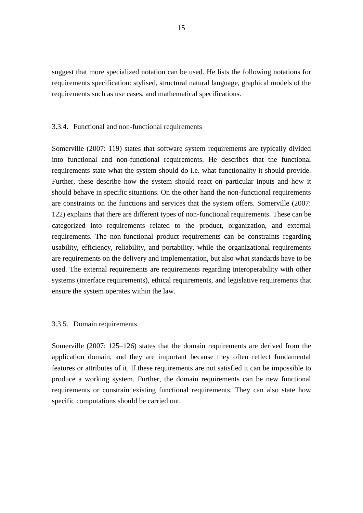suggest that more specialized notation can be used. He lists the following notations for requirements specification: stylised, structural natural language, graphical models of the requirements such as use cases, and mathematical specifications.

#### <span id="page-21-0"></span>3.3.4. Functional and non-functional requirements

Somerville (2007: 119) states that software system requirements are typically divided into functional and non-functional requirements. He describes that the functional requirements state what the system should do i.e. what functionality it should provide. Further, these describe how the system should react on particular inputs and how it should behave in specific situations. On the other hand the non-functional requirements are constraints on the functions and services that the system offers. Somerville (2007: 122) explains that there are different types of non-functional requirements. These can be categorized into requirements related to the product, organization, and external requirements. The non-functional product requirements can be constraints regarding usability, efficiency, reliability, and portability, while the organizational requirements are requirements on the delivery and implementation, but also what standards have to be used. The external requirements are requirements regarding interoperability with other systems (interface requirements), ethical requirements, and legislative requirements that ensure the system operates within the law.

#### <span id="page-21-1"></span>3.3.5. Domain requirements

Somerville (2007: 125–126) states that the domain requirements are derived from the application domain, and they are important because they often reflect fundamental features or attributes of it. If these requirements are not satisfied it can be impossible to produce a working system. Further, the domain requirements can be new functional requirements or constrain existing functional requirements. They can also state how specific computations should be carried out.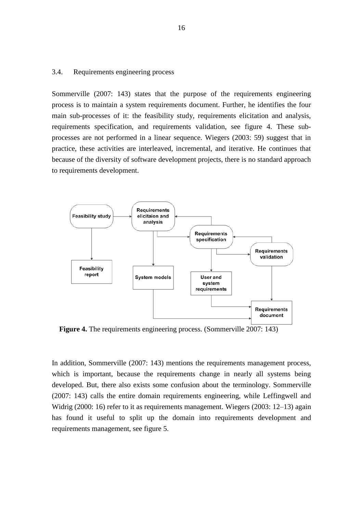#### <span id="page-22-0"></span>3.4. Requirements engineering process

Sommerville (2007: 143) states that the purpose of the requirements engineering process is to maintain a system requirements document. Further, he identifies the four main sub-processes of it: the feasibility study, requirements elicitation and analysis, requirements specification, and requirements validation, see figure 4. These subprocesses are not performed in a linear sequence. Wiegers (2003: 59) suggest that in practice, these activities are interleaved, incremental, and iterative. He continues that because of the diversity of software development projects, there is no standard approach to requirements development.



**Figure 4.** The requirements engineering process. (Sommerville 2007: 143)

In addition, Sommerville (2007: 143) mentions the requirements management process, which is important, because the requirements change in nearly all systems being developed. But, there also exists some confusion about the terminology. Sommerville (2007: 143) calls the entire domain requirements engineering, while Leffingwell and Widrig (2000: 16) refer to it as requirements management. Wiegers (2003: 12–13) again has found it useful to split up the domain into requirements development and requirements management, see figure 5.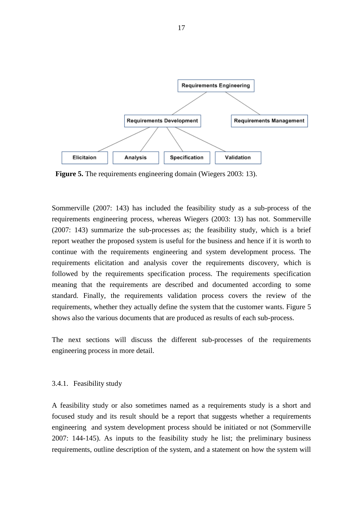

**Figure 5.** The requirements engineering domain (Wiegers 2003: 13).

Sommerville (2007: 143) has included the feasibility study as a sub-process of the requirements engineering process, whereas Wiegers (2003: 13) has not. Sommerville (2007: 143) summarize the sub-processes as; the feasibility study, which is a brief report weather the proposed system is useful for the business and hence if it is worth to continue with the requirements engineering and system development process. The requirements elicitation and analysis cover the requirements discovery, which is followed by the requirements specification process. The requirements specification meaning that the requirements are described and documented according to some standard. Finally, the requirements validation process covers the review of the requirements, whether they actually define the system that the customer wants. Figure 5 shows also the various documents that are produced as results of each sub-process.

The next sections will discuss the different sub-processes of the requirements engineering process in more detail.

#### <span id="page-23-0"></span>3.4.1. Feasibility study

A feasibility study or also sometimes named as a requirements study is a short and focused study and its result should be a report that suggests whether a requirements engineering and system development process should be initiated or not (Sommerville 2007: 144-145). As inputs to the feasibility study he list; the preliminary business requirements, outline description of the system, and a statement on how the system will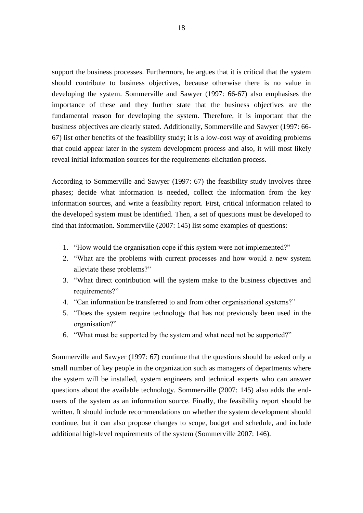support the business processes. Furthermore, he argues that it is critical that the system should contribute to business objectives, because otherwise there is no value in developing the system. Sommerville and Sawyer (1997: 66-67) also emphasises the importance of these and they further state that the business objectives are the fundamental reason for developing the system. Therefore, it is important that the business objectives are clearly stated. Additionally, Sommerville and Sawyer (1997: 66- 67) list other benefits of the feasibility study; it is a low-cost way of avoiding problems that could appear later in the system development process and also, it will most likely reveal initial information sources for the requirements elicitation process.

According to Sommerville and Sawyer (1997: 67) the feasibility study involves three phases; decide what information is needed, collect the information from the key information sources, and write a feasibility report. First, critical information related to the developed system must be identified. Then, a set of questions must be developed to find that information. Sommerville (2007: 145) list some examples of questions:

- 1. "How would the organisation cope if this system were not implemented?"
- 2. "What are the problems with current processes and how would a new system alleviate these problems?"
- 3. "What direct contribution will the system make to the business objectives and requirements?"
- 4. "Can information be transferred to and from other organisational systems?"
- 5. "Does the system require technology that has not previously been used in the organisation?"
- 6. "What must be supported by the system and what need not be supported?"

Sommerville and Sawyer (1997: 67) continue that the questions should be asked only a small number of key people in the organization such as managers of departments where the system will be installed, system engineers and technical experts who can answer questions about the available technology. Sommerville (2007: 145) also adds the endusers of the system as an information source. Finally, the feasibility report should be written. It should include recommendations on whether the system development should continue, but it can also propose changes to scope, budget and schedule, and include additional high-level requirements of the system (Sommerville 2007: 146).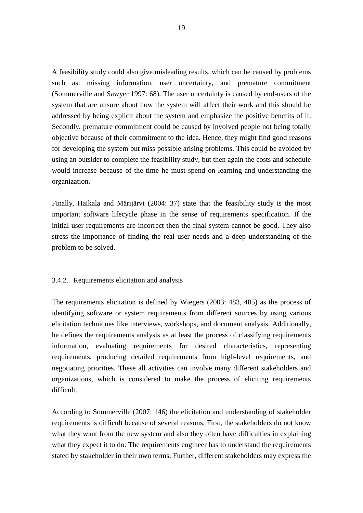A feasibility study could also give misleading results, which can be caused by problems such as: missing information, user uncertainty, and premature commitment (Sommerville and Sawyer 1997: 68). The user uncertainty is caused by end-users of the system that are unsure about how the system will affect their work and this should be addressed by being explicit about the system and emphasize the positive benefits of it. Secondly, premature commitment could be caused by involved people not being totally objective because of their commitment to the idea. Hence, they might find good reasons for developing the system but miss possible arising problems. This could be avoided by using an outsider to complete the feasibility study, but then again the costs and schedule would increase because of the time he must spend on learning and understanding the organization.

Finally, Haikala and Märijärvi (2004: 37) state that the feasibility study is the most important software lifecycle phase in the sense of requirements specification. If the initial user requirements are incorrect then the final system cannot be good. They also stress the importance of finding the real user needs and a deep understanding of the problem to be solved.

#### <span id="page-25-0"></span>3.4.2. Requirements elicitation and analysis

The requirements elicitation is defined by Wiegers (2003: 483, 485) as the process of identifying software or system requirements from different sources by using various elicitation techniques like interviews, workshops, and document analysis. Additionally, he defines the requirements analysis as at least the process of classifying requirements information, evaluating requirements for desired characteristics, representing requirements, producing detailed requirements from high-level requirements, and negotiating priorities. These all activities can involve many different stakeholders and organizations, which is considered to make the process of eliciting requirements difficult.

According to Sommerville (2007: 146) the elicitation and understanding of stakeholder requirements is difficult because of several reasons. First, the stakeholders do not know what they want from the new system and also they often have difficulties in explaining what they expect it to do. The requirements engineer has to understand the requirements stated by stakeholder in their own terms. Further, different stakeholders may express the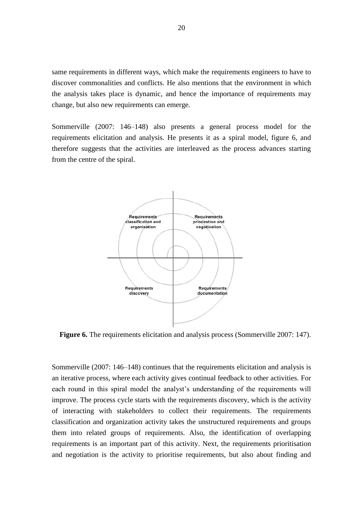same requirements in different ways, which make the requirements engineers to have to discover commonalities and conflicts. He also mentions that the environment in which the analysis takes place is dynamic, and hence the importance of requirements may change, but also new requirements can emerge.

Sommerville (2007: 146–148) also presents a general process model for the requirements elicitation and analysis. He presents it as a spiral model, figure 6, and therefore suggests that the activities are interleaved as the process advances starting from the centre of the spiral.



**Figure 6.** The requirements elicitation and analysis process (Sommerville 2007: 147).

Sommerville (2007: 146–148) continues that the requirements elicitation and analysis is an iterative process, where each activity gives continual feedback to other activities. For each round in this spiral model the analyst's understanding of the requirements will improve. The process cycle starts with the requirements discovery, which is the activity of interacting with stakeholders to collect their requirements. The requirements classification and organization activity takes the unstructured requirements and groups them into related groups of requirements. Also, the identification of overlapping requirements is an important part of this activity. Next, the requirements prioritisation and negotiation is the activity to prioritise requirements, but also about finding and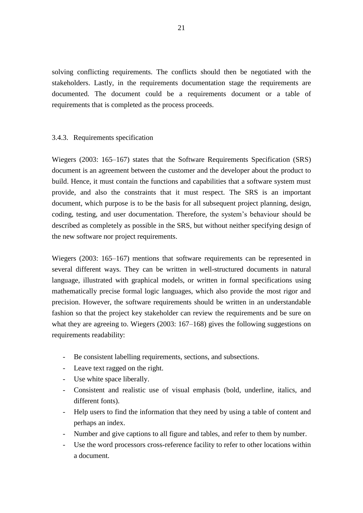solving conflicting requirements. The conflicts should then be negotiated with the stakeholders. Lastly, in the requirements documentation stage the requirements are documented. The document could be a requirements document or a table of requirements that is completed as the process proceeds.

### <span id="page-27-0"></span>3.4.3. Requirements specification

Wiegers (2003: 165–167) states that the Software Requirements Specification (SRS) document is an agreement between the customer and the developer about the product to build. Hence, it must contain the functions and capabilities that a software system must provide, and also the constraints that it must respect. The SRS is an important document, which purpose is to be the basis for all subsequent project planning, design, coding, testing, and user documentation. Therefore, the system's behaviour should be described as completely as possible in the SRS, but without neither specifying design of the new software nor project requirements.

Wiegers (2003: 165–167) mentions that software requirements can be represented in several different ways. They can be written in well-structured documents in natural language, illustrated with graphical models, or written in formal specifications using mathematically precise formal logic languages, which also provide the most rigor and precision. However, the software requirements should be written in an understandable fashion so that the project key stakeholder can review the requirements and be sure on what they are agreeing to. Wiegers (2003: 167–168) gives the following suggestions on requirements readability:

- Be consistent labelling requirements, sections, and subsections.
- Leave text ragged on the right.
- Use white space liberally.
- Consistent and realistic use of visual emphasis (bold, underline, italics, and different fonts).
- Help users to find the information that they need by using a table of content and perhaps an index.
- Number and give captions to all figure and tables, and refer to them by number.
- Use the word processors cross-reference facility to refer to other locations within a document.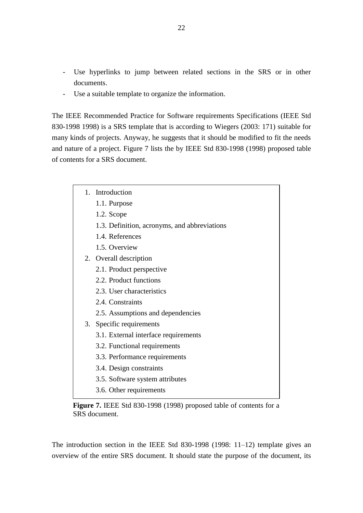- Use hyperlinks to jump between related sections in the SRS or in other documents.
- Use a suitable template to organize the information.

The IEEE Recommended Practice for Software requirements Specifications (IEEE Std 830-1998 1998) is a SRS template that is according to Wiegers (2003: 171) suitable for many kinds of projects. Anyway, he suggests that it should be modified to fit the needs and nature of a project. Figure 7 lists the by IEEE Std 830-1998 (1998) proposed table of contents for a SRS document.

- 1. Introduction 1.1. Purpose 1.2. Scope 1.3. Definition, acronyms, and abbreviations 1.4. References 1.5. Overview 2. Overall description 2.1. Product perspective 2.2. Product functions 2.3. User characteristics 2.4. Constraints 2.5. Assumptions and dependencies 3. Specific requirements 3.1. External interface requirements 3.2. Functional requirements 3.3. Performance requirements 3.4. Design constraints 3.5. Software system attributes
	- 3.6. Other requirements

**Figure 7.** IEEE Std 830-1998 (1998) proposed table of contents for a SRS document.

The introduction section in the IEEE Std 830-1998 (1998: 11–12) template gives an overview of the entire SRS document. It should state the purpose of the document, its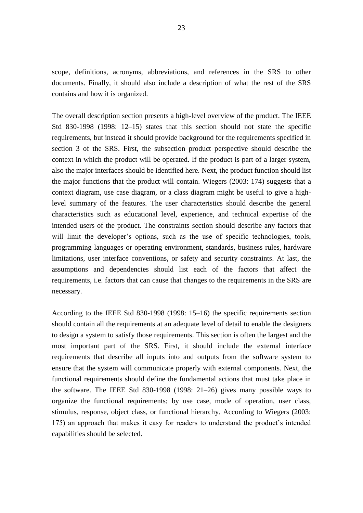scope, definitions, acronyms, abbreviations, and references in the SRS to other documents. Finally, it should also include a description of what the rest of the SRS contains and how it is organized.

The overall description section presents a high-level overview of the product. The IEEE Std 830-1998 (1998: 12–15) states that this section should not state the specific requirements, but instead it should provide background for the requirements specified in section 3 of the SRS. First, the subsection product perspective should describe the context in which the product will be operated. If the product is part of a larger system, also the major interfaces should be identified here. Next, the product function should list the major functions that the product will contain. Wiegers (2003: 174) suggests that a context diagram, use case diagram, or a class diagram might be useful to give a highlevel summary of the features. The user characteristics should describe the general characteristics such as educational level, experience, and technical expertise of the intended users of the product. The constraints section should describe any factors that will limit the developer's options, such as the use of specific technologies, tools, programming languages or operating environment, standards, business rules, hardware limitations, user interface conventions, or safety and security constraints. At last, the assumptions and dependencies should list each of the factors that affect the requirements, i.e. factors that can cause that changes to the requirements in the SRS are necessary.

According to the IEEE Std 830-1998 (1998: 15–16) the specific requirements section should contain all the requirements at an adequate level of detail to enable the designers to design a system to satisfy those requirements. This section is often the largest and the most important part of the SRS. First, it should include the external interface requirements that describe all inputs into and outputs from the software system to ensure that the system will communicate properly with external components. Next, the functional requirements should define the fundamental actions that must take place in the software. The IEEE Std 830-1998 (1998: 21–26) gives many possible ways to organize the functional requirements; by use case, mode of operation, user class, stimulus, response, object class, or functional hierarchy. According to Wiegers (2003: 175) an approach that makes it easy for readers to understand the product's intended capabilities should be selected.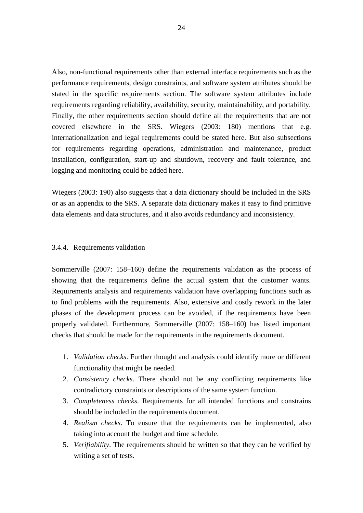Also, non-functional requirements other than external interface requirements such as the performance requirements, design constraints, and software system attributes should be stated in the specific requirements section. The software system attributes include requirements regarding reliability, availability, security, maintainability, and portability. Finally, the other requirements section should define all the requirements that are not covered elsewhere in the SRS. Wiegers (2003: 180) mentions that e.g. internationalization and legal requirements could be stated here. But also subsections for requirements regarding operations, administration and maintenance, product installation, configuration, start-up and shutdown, recovery and fault tolerance, and logging and monitoring could be added here.

Wiegers (2003: 190) also suggests that a data dictionary should be included in the SRS or as an appendix to the SRS. A separate data dictionary makes it easy to find primitive data elements and data structures, and it also avoids redundancy and inconsistency.

#### <span id="page-30-0"></span>3.4.4. Requirements validation

Sommerville (2007: 158–160) define the requirements validation as the process of showing that the requirements define the actual system that the customer wants. Requirements analysis and requirements validation have overlapping functions such as to find problems with the requirements. Also, extensive and costly rework in the later phases of the development process can be avoided, if the requirements have been properly validated. Furthermore, Sommerville (2007: 158–160) has listed important checks that should be made for the requirements in the requirements document.

- 1. *Validation checks*. Further thought and analysis could identify more or different functionality that might be needed.
- 2. *Consistency checks*. There should not be any conflicting requirements like contradictory constraints or descriptions of the same system function.
- 3. *Completeness checks*. Requirements for all intended functions and constrains should be included in the requirements document.
- 4. *Realism checks*. To ensure that the requirements can be implemented, also taking into account the budget and time schedule.
- 5. *Verifiability*. The requirements should be written so that they can be verified by writing a set of tests.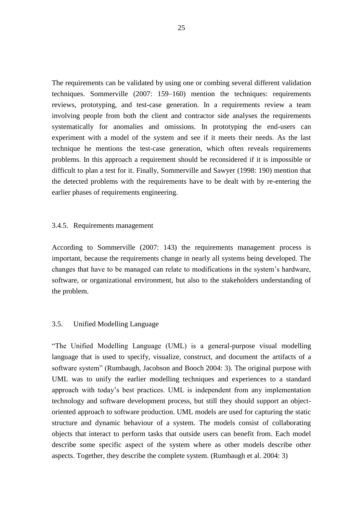The requirements can be validated by using one or combing several different validation techniques. Sommerville (2007: 159–160) mention the techniques: requirements reviews, prototyping, and test-case generation. In a requirements review a team involving people from both the client and contractor side analyses the requirements systematically for anomalies and omissions. In prototyping the end-users can experiment with a model of the system and see if it meets their needs. As the last technique he mentions the test-case generation, which often reveals requirements problems. In this approach a requirement should be reconsidered if it is impossible or difficult to plan a test for it. Finally, Sommerville and Sawyer (1998: 190) mention that the detected problems with the requirements have to be dealt with by re-entering the earlier phases of requirements engineering.

#### <span id="page-31-0"></span>3.4.5. Requirements management

According to Sommerville (2007: 143) the requirements management process is important, because the requirements change in nearly all systems being developed. The changes that have to be managed can relate to modifications in the system's hardware, software, or organizational environment, but also to the stakeholders understanding of the problem.

# <span id="page-31-1"></span>3.5. Unified Modelling Language

"The Unified Modelling Language (UML) is a general-purpose visual modelling language that is used to specify, visualize, construct, and document the artifacts of a software system" (Rumbaugh, Jacobson and Booch 2004: 3). The original purpose with UML was to unify the earlier modelling techniques and experiences to a standard approach with today's best practices. UML is independent from any implementation technology and software development process, but still they should support an objectoriented approach to software production. UML models are used for capturing the static structure and dynamic behaviour of a system. The models consist of collaborating objects that interact to perform tasks that outside users can benefit from. Each model describe some specific aspect of the system where as other models describe other aspects. Together, they describe the complete system. (Rumbaugh et al. 2004: 3)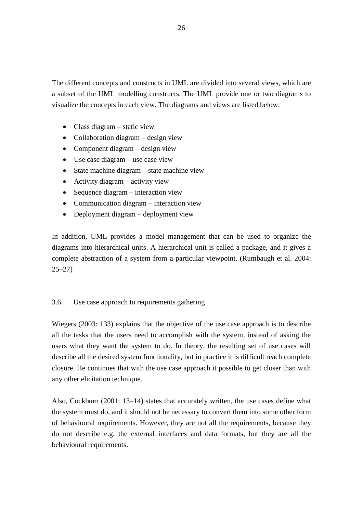The different concepts and constructs in UML are divided into several views, which are a subset of the UML modelling constructs. The UML provide one or two diagrams to visualize the concepts in each view. The diagrams and views are listed below:

- Class diagram static view
- Collaboration diagram design view
- Component diagram design view
- Use case diagram use case view
- State machine diagram state machine view
- Activity diagram activity view
- Sequence diagram interaction view
- Communication diagram interaction view
- Deployment diagram deployment view

In addition, UML provides a model management that can be used to organize the diagrams into hierarchical units. A hierarchical unit is called a package, and it gives a complete abstraction of a system from a particular viewpoint. (Rumbaugh et al. 2004: 25–27)

# <span id="page-32-0"></span>3.6. Use case approach to requirements gathering

Wiegers (2003: 133) explains that the objective of the use case approach is to describe all the tasks that the users need to accomplish with the system, instead of asking the users what they want the system to do. In theory, the resulting set of use cases will describe all the desired system functionality, but in practice it is difficult reach complete closure. He continues that with the use case approach it possible to get closer than with any other elicitation technique.

Also, Cockburn (2001: 13–14) states that accurately written, the use cases define what the system must do, and it should not be necessary to convert them into some other form of behavioural requirements. However, they are not all the requirements, because they do not describe e.g. the external interfaces and data formats, but they are all the behavioural requirements.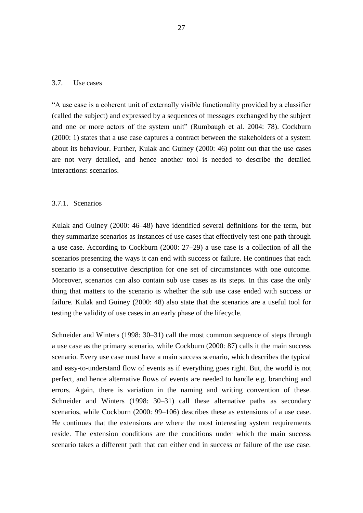#### <span id="page-33-0"></span>3.7. Use cases

"A use case is a coherent unit of externally visible functionality provided by a classifier (called the subject) and expressed by a sequences of messages exchanged by the subject and one or more actors of the system unit" (Rumbaugh et al. 2004: 78). Cockburn (2000: 1) states that a use case captures a contract between the stakeholders of a system about its behaviour. Further, Kulak and Guiney (2000: 46) point out that the use cases are not very detailed, and hence another tool is needed to describe the detailed interactions: scenarios.

#### <span id="page-33-1"></span>3.7.1. Scenarios

Kulak and Guiney (2000: 46–48) have identified several definitions for the term, but they summarize scenarios as instances of use cases that effectively test one path through a use case. According to Cockburn (2000: 27–29) a use case is a collection of all the scenarios presenting the ways it can end with success or failure. He continues that each scenario is a consecutive description for one set of circumstances with one outcome. Moreover, scenarios can also contain sub use cases as its steps. In this case the only thing that matters to the scenario is whether the sub use case ended with success or failure. Kulak and Guiney (2000: 48) also state that the scenarios are a useful tool for testing the validity of use cases in an early phase of the lifecycle.

Schneider and Winters (1998: 30–31) call the most common sequence of steps through a use case as the primary scenario, while Cockburn (2000: 87) calls it the main success scenario. Every use case must have a main success scenario, which describes the typical and easy-to-understand flow of events as if everything goes right. But, the world is not perfect, and hence alternative flows of events are needed to handle e.g. branching and errors. Again, there is variation in the naming and writing convention of these. Schneider and Winters (1998: 30–31) call these alternative paths as secondary scenarios, while Cockburn (2000: 99–106) describes these as extensions of a use case. He continues that the extensions are where the most interesting system requirements reside. The extension conditions are the conditions under which the main success scenario takes a different path that can either end in success or failure of the use case.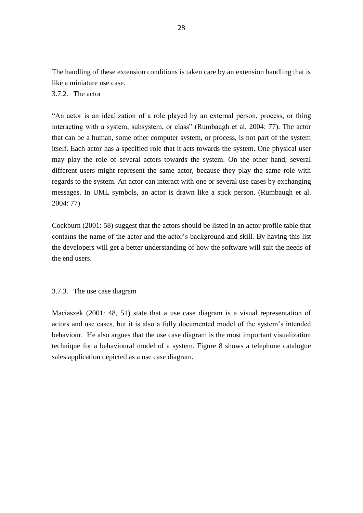The handling of these extension conditions is taken care by an extension handling that is like a miniature use case.

# <span id="page-34-0"></span>3.7.2. The actor

"An actor is an idealization of a role played by an external person, process, or thing interacting with a system, subsystem, or class" (Rumbaugh et al. 2004: 77). The actor that can be a human, some other computer system, or process, is not part of the system itself. Each actor has a specified role that it acts towards the system. One physical user may play the role of several actors towards the system. On the other hand, several different users might represent the same actor, because they play the same role with regards to the system. An actor can interact with one or several use cases by exchanging messages. In UML symbols, an actor is drawn like a stick person. (Rumbaugh et al. 2004: 77)

Cockburn (2001: 58) suggest that the actors should be listed in an actor profile table that contains the name of the actor and the actor's background and skill. By having this list the developers will get a better understanding of how the software will suit the needs of the end users.

### <span id="page-34-1"></span>3.7.3. The use case diagram

Maciaszek (2001: 48, 51) state that a use case diagram is a visual representation of actors and use cases, but it is also a fully documented model of the system's intended behaviour. He also argues that the use case diagram is the most important visualization technique for a behavioural model of a system. Figure 8 shows a telephone catalogue sales application depicted as a use case diagram.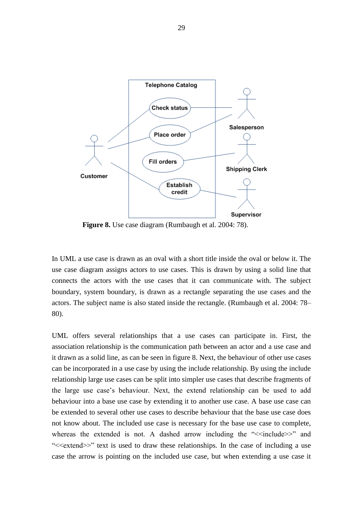

**Figure 8.** Use case diagram (Rumbaugh et al. 2004: 78).

In UML a use case is drawn as an oval with a short title inside the oval or below it. The use case diagram assigns actors to use cases. This is drawn by using a solid line that connects the actors with the use cases that it can communicate with. The subject boundary, system boundary, is drawn as a rectangle separating the use cases and the actors. The subject name is also stated inside the rectangle. (Rumbaugh et al. 2004: 78– 80).

UML offers several relationships that a use cases can participate in. First, the association relationship is the communication path between an actor and a use case and it drawn as a solid line, as can be seen in figure 8. Next, the behaviour of other use cases can be incorporated in a use case by using the include relationship. By using the include relationship large use cases can be split into simpler use cases that describe fragments of the large use case's behaviour. Next, the extend relationship can be used to add behaviour into a base use case by extending it to another use case. A base use case can be extended to several other use cases to describe behaviour that the base use case does not know about. The included use case is necessary for the base use case to complete, whereas the extended is not. A dashed arrow including the " $\le$ include $\ge$ " and ">>>" text is used to draw these relationships. In the case of including a use case the arrow is pointing on the included use case, but when extending a use case it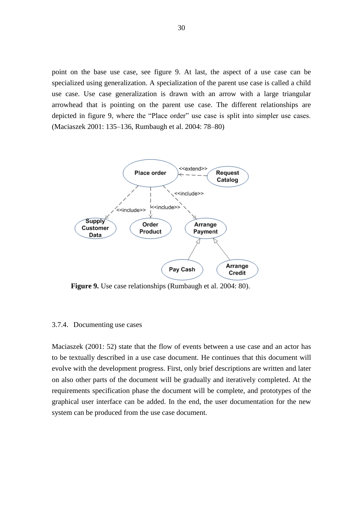point on the base use case, see figure 9. At last, the aspect of a use case can be specialized using generalization. A specialization of the parent use case is called a child use case. Use case generalization is drawn with an arrow with a large triangular arrowhead that is pointing on the parent use case. The different relationships are depicted in figure 9, where the "Place order" use case is split into simpler use cases. (Maciaszek 2001: 135–136, Rumbaugh et al. 2004: 78–80)



**Figure 9.** Use case relationships (Rumbaugh et al. 2004: 80).

### 3.7.4. Documenting use cases

Maciaszek (2001: 52) state that the flow of events between a use case and an actor has to be textually described in a use case document. He continues that this document will evolve with the development progress. First, only brief descriptions are written and later on also other parts of the document will be gradually and iteratively completed. At the requirements specification phase the document will be complete, and prototypes of the graphical user interface can be added. In the end, the user documentation for the new system can be produced from the use case document.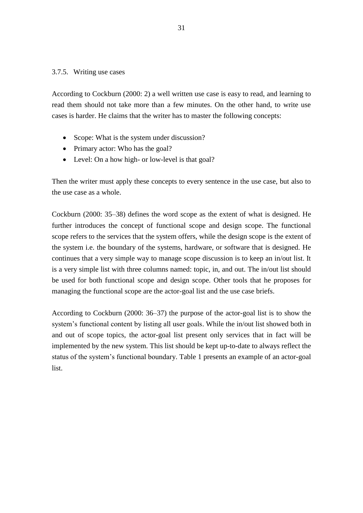## 3.7.5. Writing use cases

According to Cockburn (2000: 2) a well written use case is easy to read, and learning to read them should not take more than a few minutes. On the other hand, to write use cases is harder. He claims that the writer has to master the following concepts:

- Scope: What is the system under discussion?
- Primary actor: Who has the goal?
- Level: On a how high- or low-level is that goal?

Then the writer must apply these concepts to every sentence in the use case, but also to the use case as a whole.

Cockburn (2000: 35–38) defines the word scope as the extent of what is designed. He further introduces the concept of functional scope and design scope. The functional scope refers to the services that the system offers, while the design scope is the extent of the system i.e. the boundary of the systems, hardware, or software that is designed. He continues that a very simple way to manage scope discussion is to keep an in/out list. It is a very simple list with three columns named: topic, in, and out. The in/out list should be used for both functional scope and design scope. Other tools that he proposes for managing the functional scope are the actor-goal list and the use case briefs.

According to Cockburn (2000: 36–37) the purpose of the actor-goal list is to show the system's functional content by listing all user goals. While the in/out list showed both in and out of scope topics, the actor-goal list present only services that in fact will be implemented by the new system. This list should be kept up-to-date to always reflect the status of the system's functional boundary. Table 1 presents an example of an actor-goal list.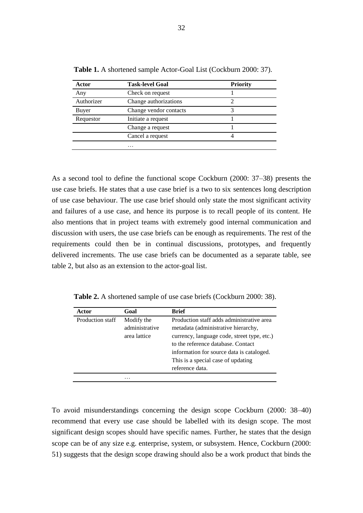| Actor      | <b>Task-level Goal</b> | <b>Priority</b> |
|------------|------------------------|-----------------|
| Any        | Check on request       |                 |
| Authorizer | Change authorizations  |                 |
| Buyer      | Change vendor contacts |                 |
| Requestor  | Initiate a request     |                 |
|            | Change a request       |                 |
|            | Cancel a request       |                 |
|            | .                      |                 |

**Table 1.** A shortened sample Actor-Goal List (Cockburn 2000: 37).

As a second tool to define the functional scope Cockburn (2000: 37–38) presents the use case briefs. He states that a use case brief is a two to six sentences long description of use case behaviour. The use case brief should only state the most significant activity and failures of a use case, and hence its purpose is to recall people of its content. He also mentions that in project teams with extremely good internal communication and discussion with users, the use case briefs can be enough as requirements. The rest of the requirements could then be in continual discussions, prototypes, and frequently delivered increments. The use case briefs can be documented as a separate table, see table 2, but also as an extension to the actor-goal list.

**Table 2.** A shortened sample of use case briefs (Cockburn 2000: 38).

| Actor            | Goal                                         | <b>Brief</b>                                                                                                                             |
|------------------|----------------------------------------------|------------------------------------------------------------------------------------------------------------------------------------------|
| Production staff | Modify the<br>administrative<br>area lattice | Production staff adds administrative area<br>metadata (administrative hierarchy,<br>currency, language code, street type, etc.)          |
|                  |                                              | to the reference database. Contact<br>information for source data is cataloged.<br>This is a special case of updating<br>reference data. |
|                  | .                                            |                                                                                                                                          |

To avoid misunderstandings concerning the design scope Cockburn (2000: 38–40) recommend that every use case should be labelled with its design scope. The most significant design scopes should have specific names. Further, he states that the design scope can be of any size e.g. enterprise, system, or subsystem. Hence, Cockburn (2000: 51) suggests that the design scope drawing should also be a work product that binds the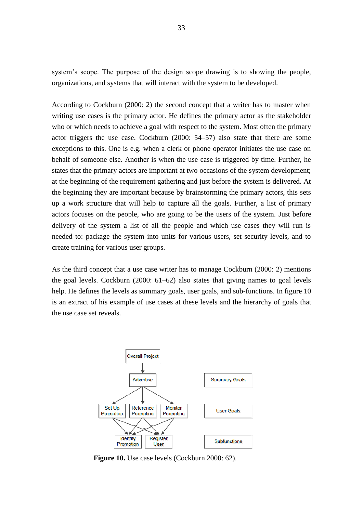system's scope. The purpose of the design scope drawing is to showing the people, organizations, and systems that will interact with the system to be developed.

According to Cockburn (2000: 2) the second concept that a writer has to master when writing use cases is the primary actor. He defines the primary actor as the stakeholder who or which needs to achieve a goal with respect to the system. Most often the primary actor triggers the use case. Cockburn (2000: 54–57) also state that there are some exceptions to this. One is e.g. when a clerk or phone operator initiates the use case on behalf of someone else. Another is when the use case is triggered by time. Further, he states that the primary actors are important at two occasions of the system development; at the beginning of the requirement gathering and just before the system is delivered. At the beginning they are important because by brainstorming the primary actors, this sets up a work structure that will help to capture all the goals. Further, a list of primary actors focuses on the people, who are going to be the users of the system. Just before delivery of the system a list of all the people and which use cases they will run is needed to: package the system into units for various users, set security levels, and to create training for various user groups.

As the third concept that a use case writer has to manage Cockburn (2000: 2) mentions the goal levels. Cockburn (2000: 61–62) also states that giving names to goal levels help. He defines the levels as summary goals, user goals, and sub-functions. In figure 10 is an extract of his example of use cases at these levels and the hierarchy of goals that the use case set reveals.



**Figure 10.** Use case levels (Cockburn 2000: 62).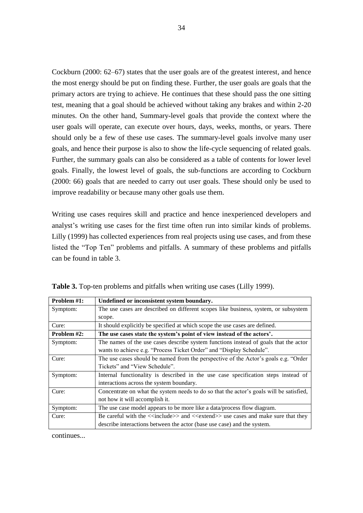Cockburn (2000: 62–67) states that the user goals are of the greatest interest, and hence the most energy should be put on finding these. Further, the user goals are goals that the primary actors are trying to achieve. He continues that these should pass the one sitting test, meaning that a goal should be achieved without taking any brakes and within 2-20 minutes. On the other hand, Summary-level goals that provide the context where the user goals will operate, can execute over hours, days, weeks, months, or years. There should only be a few of these use cases. The summary-level goals involve many user goals, and hence their purpose is also to show the life-cycle sequencing of related goals. Further, the summary goals can also be considered as a table of contents for lower level goals. Finally, the lowest level of goals, the sub-functions are according to Cockburn (2000: 66) goals that are needed to carry out user goals. These should only be used to improve readability or because many other goals use them.

Writing use cases requires skill and practice and hence inexperienced developers and analyst's writing use cases for the first time often run into similar kinds of problems. Lilly (1999) has collected experiences from real projects using use cases, and from these listed the "Top Ten" problems and pitfalls. A summary of these problems and pitfalls can be found in table 3.

| Problem #1: | Undefined or inconsistent system boundary.                                               |
|-------------|------------------------------------------------------------------------------------------|
| Symptom:    | The use cases are described on different scopes like business, system, or subsystem      |
|             | scope.                                                                                   |
| Cure:       | It should explicitly be specified at which scope the use cases are defined.              |
| Problem #2: | The use cases state the system's point of view instead of the actors'.                   |
| Symptom:    | The names of the use cases describe system functions instead of goals that the actor     |
|             | wants to achieve e.g. "Process Ticket Order" and "Display Schedule".                     |
| Cure:       | The use cases should be named from the perspective of the Actor's goals e.g. "Order      |
|             | Tickets" and "View Schedule".                                                            |
| Symptom:    | Internal functionality is described in the use case specification steps instead of       |
|             | interactions across the system boundary.                                                 |
| Cure:       | Concentrate on what the system needs to do so that the actor's goals will be satisfied,  |
|             | not how it will accomplish it.                                                           |
| Symptom:    | The use case model appears to be more like a data/process flow diagram.                  |
| Cure:       | Be careful with the $\le$ include>> and $\le$ extend>> use cases and make sure that they |
|             | describe interactions between the actor (base use case) and the system.                  |

**Table 3.** Top-ten problems and pitfalls when writing use cases (Lilly 1999).

continues...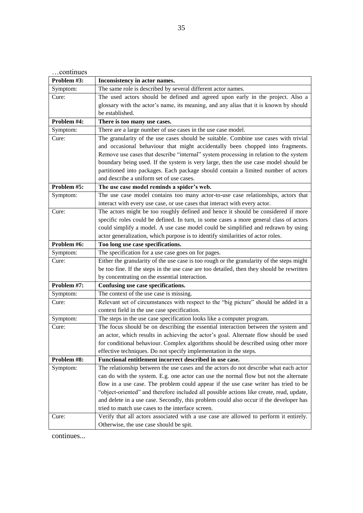| continues   |                                                                                           |
|-------------|-------------------------------------------------------------------------------------------|
| Problem #3: | Inconsistency in actor names.                                                             |
| Symptom:    | The same role is described by several different actor names.                              |
| Cure:       | The used actors should be defined and agreed upon early in the project. Also a            |
|             | glossary with the actor's name, its meaning, and any alias that it is known by should     |
|             | be established.                                                                           |
| Problem #4: | There is too many use cases.                                                              |
| Symptom:    | There are a large number of use cases in the use case model.                              |
| Cure:       | The granularity of the use cases should be suitable. Combine use cases with trivial       |
|             | and occasional behaviour that might accidentally been chopped into fragments.             |
|             | Remove use cases that describe "internal" system processing in relation to the system     |
|             | boundary being used. If the system is very large, then the use case model should be       |
|             | partitioned into packages. Each package should contain a limited number of actors         |
|             | and describe a uniform set of use cases.                                                  |
| Problem #5: | The use case model reminds a spider's web.                                                |
| Symptom:    | The use case model contains too many actor-to-use case relationships, actors that         |
|             | interact with every use case, or use cases that interact with every actor.                |
| Cure:       | The actors might be too roughly defined and hence it should be considered if more         |
|             | specific roles could be defined. In turn, in some cases a more general class of actors    |
|             | could simplify a model. A use case model could be simplified and redrawn by using         |
|             | actor generalization, which purpose is to identify similarities of actor roles.           |
| Problem #6: | Too long use case specifications.                                                         |
| Symptom:    | The specification for a use case goes on for pages.                                       |
| Cure:       | Either the granularity of the use case is too rough or the granularity of the steps might |
|             | be too fine. If the steps in the use case are too detailed, then they should be rewritten |
|             | by concentrating on the essential interaction.                                            |
| Problem #7: | Confusing use case specifications.                                                        |
| Symptom:    | The context of the use case is missing.                                                   |
| Cure:       | Relevant set of circumstances with respect to the "big picture" should be added in a      |
|             | context field in the use case specification.                                              |
| Symptom:    | The steps in the use case specification looks like a computer program.                    |
| Cure:       | The focus should be on describing the essential interaction between the system and        |
|             | an actor, which results in achieving the actor's goal. Alternate flow should be used      |
|             | for conditional behaviour. Complex algorithms should be described using other more        |
|             | effective techniques. Do not specify implementation in the steps.                         |
| Problem #8: | Functional entitlement incorrect described in use case.                                   |
| Symptom:    | The relationship between the use cases and the actors do not describe what each actor     |
|             | can do with the system. E.g. one actor can use the normal flow but not the alternate      |
|             | flow in a use case. The problem could appear if the use case writer has tried to be       |
|             | "object-oriented" and therefore included all possible actions like create, read, update,  |
|             | and delete in a use case. Secondly, this problem could also occur if the developer has    |
|             | tried to match use cases to the interface screen.                                         |
| Cure:       | Verify that all actors associated with a use case are allowed to perform it entirely.     |
|             | Otherwise, the use case should be spit.                                                   |

continues...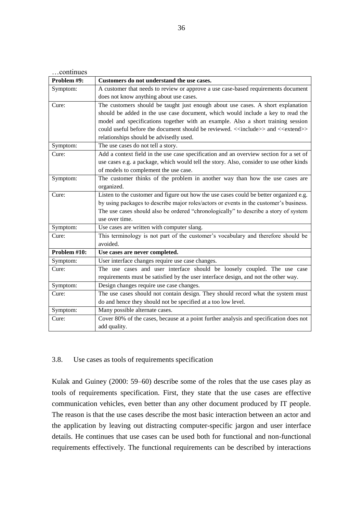| continues    |                                                                                                              |
|--------------|--------------------------------------------------------------------------------------------------------------|
| Problem #9:  | Customers do not understand the use cases.                                                                   |
| Symptom:     | A customer that needs to review or approve a use case-based requirements document                            |
|              | does not know anything about use cases.                                                                      |
| Cure:        | The customers should be taught just enough about use cases. A short explanation                              |
|              | should be added in the use case document, which would include a key to read the                              |
|              | model and specifications together with an example. Also a short training session                             |
|              | could useful before the document should be reviewed. < <include>&gt; and &lt;<extend>&gt;</extend></include> |
|              | relationships should be advisedly used.                                                                      |
| Symptom:     | The use cases do not tell a story.                                                                           |
| Cure:        | Add a context field in the use case specification and an overview section for a set of                       |
|              | use cases e.g. a package, which would tell the story. Also, consider to use other kinds                      |
|              | of models to complement the use case.                                                                        |
| Symptom:     | The customer thinks of the problem in another way than how the use cases are                                 |
|              | organized.                                                                                                   |
| Cure:        | Listen to the customer and figure out how the use cases could be better organized e.g.                       |
|              | by using packages to describe major roles/actors or events in the customer's business.                       |
|              | The use cases should also be ordered "chronologically" to describe a story of system                         |
|              | use over time.                                                                                               |
| Symptom:     | Use cases are written with computer slang.                                                                   |
| Cure:        | This terminology is not part of the customer's vocabulary and therefore should be                            |
|              | avoided.                                                                                                     |
| Problem #10: | Use cases are never completed.                                                                               |
| Symptom:     | User interface changes require use case changes.                                                             |
| Cure:        | The use cases and user interface should be loosely coupled. The use case                                     |
|              | requirements must be satisfied by the user interface design, and not the other way.                          |
| Symptom:     | Design changes require use case changes.                                                                     |
| Cure:        | The use cases should not contain design. They should record what the system must                             |
|              | do and hence they should not be specified at a too low level.                                                |
| Symptom:     | Many possible alternate cases.                                                                               |
| Cure:        | Cover 80% of the cases, because at a point further analysis and specification does not                       |
|              | add quality.                                                                                                 |

## 3.8. Use cases as tools of requirements specification

Kulak and Guiney (2000: 59–60) describe some of the roles that the use cases play as tools of requirements specification. First, they state that the use cases are effective communication vehicles, even better than any other document produced by IT people. The reason is that the use cases describe the most basic interaction between an actor and the application by leaving out distracting computer-specific jargon and user interface details. He continues that use cases can be used both for functional and non-functional requirements effectively. The functional requirements can be described by interactions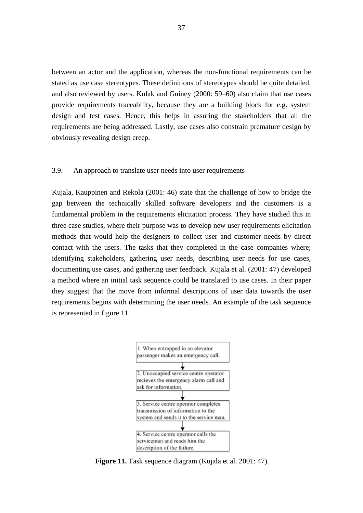between an actor and the application, whereas the non-functional requirements can be stated as use case stereotypes. These definitions of stereotypes should be quite detailed, and also reviewed by users. Kulak and Guiney (2000: 59–60) also claim that use cases provide requirements traceability, because they are a building block for e.g. system design and test cases. Hence, this helps in assuring the stakeholders that all the requirements are being addressed. Lastly, use cases also constrain premature design by obviously revealing design creep.

## 3.9. An approach to translate user needs into user requirements

Kujala, Kauppinen and Rekola (2001: 46) state that the challenge of how to bridge the gap between the technically skilled software developers and the customers is a fundamental problem in the requirements elicitation process. They have studied this in three case studies, where their purpose was to develop new user requirements elicitation methods that would help the designers to collect user and customer needs by direct contact with the users. The tasks that they completed in the case companies where; identifying stakeholders, gathering user needs, describing user needs for use cases, documenting use cases, and gathering user feedback. Kujala et al. (2001: 47) developed a method where an initial task sequence could be translated to use cases. In their paper they suggest that the move from informal descriptions of user data towards the user requirements begins with determining the user needs. An example of the task sequence is represented in figure 11.



**Figure 11.** Task sequence diagram (Kujala et al. 2001: 47).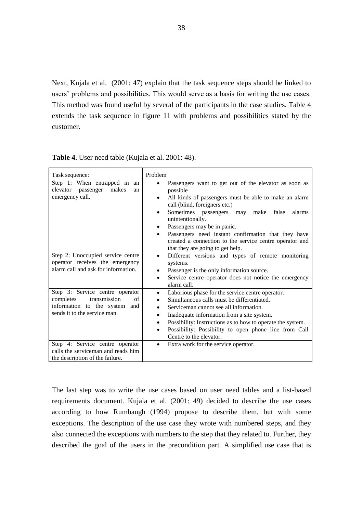Next, Kujala et al. (2001: 47) explain that the task sequence steps should be linked to users' problems and possibilities. This would serve as a basis for writing the use cases. This method was found useful by several of the participants in the case studies. Table 4 extends the task sequence in figure 11 with problems and possibilities stated by the customer.

| Task sequence:                                                                                                                      | Problem                                                                                                                                                                                                                                                                                                                                                                                                                                                         |
|-------------------------------------------------------------------------------------------------------------------------------------|-----------------------------------------------------------------------------------------------------------------------------------------------------------------------------------------------------------------------------------------------------------------------------------------------------------------------------------------------------------------------------------------------------------------------------------------------------------------|
| Step 1: When entrapped in an<br>elevator passenger<br>makes<br>an<br>emergency call.                                                | Passengers want to get out of the elevator as soon as<br>$\bullet$<br>possible<br>All kinds of passengers must be able to make an alarm<br>call (blind, foreigners etc.)<br>Sometimes passengers may make<br>false<br>alarms<br>$\bullet$<br>unintentionally.<br>Passengers may be in panic.<br>Passengers need instant confirmation that they have<br>$\bullet$<br>created a connection to the service centre operator and<br>that they are going to get help. |
| Step 2: Unoccupied service centre<br>operator receives the emergency<br>alarm call and ask for information.                         | Different versions and types of remote monitoring<br>$\bullet$<br>systems.<br>Passenger is the only information source.<br>٠<br>Service centre operator does not notice the emergency<br>$\bullet$<br>alarm call.                                                                                                                                                                                                                                               |
| Step 3: Service centre operator<br>transmission<br>completes<br>of<br>information to the system and<br>sends it to the service man. | Laborious phase for the service centre operator.<br>$\bullet$<br>Simultaneous calls must be differentiated.<br>$\bullet$<br>Serviceman cannot see all information.<br>$\bullet$<br>Inadequate information from a site system.<br>$\bullet$<br>Possibility: Instructions as to how to operate the system.<br>$\bullet$<br>Possibility: Possibility to open phone line from Call<br>$\bullet$<br>Centre to the elevator.                                          |
| Step 4: Service centre operator<br>calls the serviceman and reads him<br>the description of the failure.                            | Extra work for the service operator.<br>$\bullet$                                                                                                                                                                                                                                                                                                                                                                                                               |

**Table 4.** User need table (Kujala et al. 2001: 48).

The last step was to write the use cases based on user need tables and a list-based requirements document. Kujala et al. (2001: 49) decided to describe the use cases according to how Rumbaugh (1994) propose to describe them, but with some exceptions. The description of the use case they wrote with numbered steps, and they also connected the exceptions with numbers to the step that they related to. Further, they described the goal of the users in the precondition part. A simplified use case that is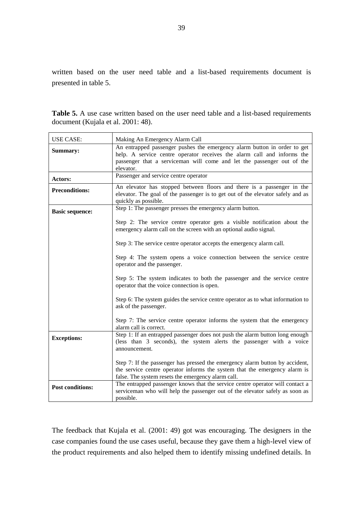written based on the user need table and a list-based requirements document is presented in table 5.

|                                    |  |  |  |  |  | <b>Table 5.</b> A use case written based on the user need table and a list-based requirements |  |  |
|------------------------------------|--|--|--|--|--|-----------------------------------------------------------------------------------------------|--|--|
| document (Kujala et al. 2001: 48). |  |  |  |  |  |                                                                                               |  |  |

| <b>USE CASE:</b>        | Making An Emergency Alarm Call                                                                                                                                                                                   |
|-------------------------|------------------------------------------------------------------------------------------------------------------------------------------------------------------------------------------------------------------|
| Summary:                | An entrapped passenger pushes the emergency alarm button in order to get<br>help. A service centre operator receives the alarm call and informs the                                                              |
|                         | passenger that a serviceman will come and let the passenger out of the<br>elevator.                                                                                                                              |
| Actors:                 | Passenger and service centre operator                                                                                                                                                                            |
| <b>Preconditions:</b>   | An elevator has stopped between floors and there is a passenger in the<br>elevator. The goal of the passenger is to get out of the elevator safely and as<br>quickly as possible.                                |
| <b>Basic sequence:</b>  | Step 1: The passenger presses the emergency alarm button.                                                                                                                                                        |
|                         | Step 2: The service centre operator gets a visible notification about the<br>emergency alarm call on the screen with an optional audio signal.                                                                   |
|                         | Step 3: The service centre operator accepts the emergency alarm call.                                                                                                                                            |
|                         | Step 4: The system opens a voice connection between the service centre<br>operator and the passenger.                                                                                                            |
|                         | Step 5: The system indicates to both the passenger and the service centre<br>operator that the voice connection is open.                                                                                         |
|                         | Step 6: The system guides the service centre operator as to what information to<br>ask of the passenger.                                                                                                         |
|                         | Step 7: The service centre operator informs the system that the emergency<br>alarm call is correct.                                                                                                              |
| <b>Exceptions:</b>      | Step 1: If an entrapped passenger does not push the alarm button long enough<br>(less than 3 seconds), the system alerts the passenger with a voice<br>announcement.                                             |
|                         | Step 7: If the passenger has pressed the emergency alarm button by accident,<br>the service centre operator informs the system that the emergency alarm is<br>false. The system resets the emergency alarm call. |
| <b>Post conditions:</b> | The entrapped passenger knows that the service centre operator will contact a<br>serviceman who will help the passenger out of the elevator safely as soon as<br>possible.                                       |

The feedback that Kujala et al. (2001: 49) got was encouraging. The designers in the case companies found the use cases useful, because they gave them a high-level view of the product requirements and also helped them to identify missing undefined details. In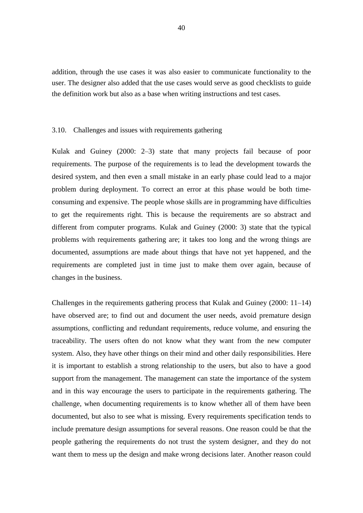addition, through the use cases it was also easier to communicate functionality to the user. The designer also added that the use cases would serve as good checklists to guide the definition work but also as a base when writing instructions and test cases.

#### 3.10. Challenges and issues with requirements gathering

Kulak and Guiney (2000: 2–3) state that many projects fail because of poor requirements. The purpose of the requirements is to lead the development towards the desired system, and then even a small mistake in an early phase could lead to a major problem during deployment. To correct an error at this phase would be both timeconsuming and expensive. The people whose skills are in programming have difficulties to get the requirements right. This is because the requirements are so abstract and different from computer programs. Kulak and Guiney (2000: 3) state that the typical problems with requirements gathering are; it takes too long and the wrong things are documented, assumptions are made about things that have not yet happened, and the requirements are completed just in time just to make them over again, because of changes in the business.

Challenges in the requirements gathering process that Kulak and Guiney (2000: 11–14) have observed are; to find out and document the user needs, avoid premature design assumptions, conflicting and redundant requirements, reduce volume, and ensuring the traceability. The users often do not know what they want from the new computer system. Also, they have other things on their mind and other daily responsibilities. Here it is important to establish a strong relationship to the users, but also to have a good support from the management. The management can state the importance of the system and in this way encourage the users to participate in the requirements gathering. The challenge, when documenting requirements is to know whether all of them have been documented, but also to see what is missing. Every requirements specification tends to include premature design assumptions for several reasons. One reason could be that the people gathering the requirements do not trust the system designer, and they do not want them to mess up the design and make wrong decisions later. Another reason could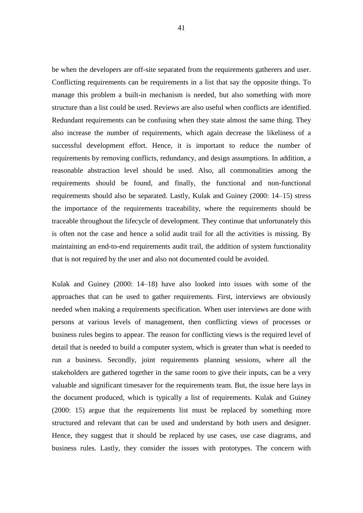be when the developers are off-site separated from the requirements gatherers and user. Conflicting requirements can be requirements in a list that say the opposite things. To manage this problem a built-in mechanism is needed, but also something with more structure than a list could be used. Reviews are also useful when conflicts are identified. Redundant requirements can be confusing when they state almost the same thing. They also increase the number of requirements, which again decrease the likeliness of a successful development effort. Hence, it is important to reduce the number of requirements by removing conflicts, redundancy, and design assumptions. In addition, a reasonable abstraction level should be used. Also, all commonalities among the requirements should be found, and finally, the functional and non-functional requirements should also be separated. Lastly, Kulak and Guiney (2000: 14–15) stress the importance of the requirements traceability, where the requirements should be traceable throughout the lifecycle of development. They continue that unfortunately this is often not the case and hence a solid audit trail for all the activities is missing. By maintaining an end-to-end requirements audit trail, the addition of system functionality that is not required by the user and also not documented could be avoided.

Kulak and Guiney (2000: 14–18) have also looked into issues with some of the approaches that can be used to gather requirements. First, interviews are obviously needed when making a requirements specification. When user interviews are done with persons at various levels of management, then conflicting views of processes or business rules begins to appear. The reason for conflicting views is the required level of detail that is needed to build a computer system, which is greater than what is needed to run a business. Secondly, joint requirements planning sessions, where all the stakeholders are gathered together in the same room to give their inputs, can be a very valuable and significant timesaver for the requirements team. But, the issue here lays in the document produced, which is typically a list of requirements. Kulak and Guiney (2000: 15) argue that the requirements list must be replaced by something more structured and relevant that can be used and understand by both users and designer. Hence, they suggest that it should be replaced by use cases, use case diagrams, and business rules. Lastly, they consider the issues with prototypes. The concern with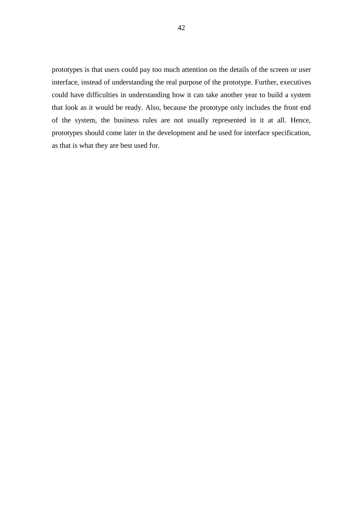prototypes is that users could pay too much attention on the details of the screen or user interface, instead of understanding the real purpose of the prototype. Further, executives could have difficulties in understanding how it can take another year to build a system that look as it would be ready. Also, because the prototype only includes the front end of the system, the business rules are not usually represented in it at all. Hence, prototypes should come later in the development and be used for interface specification, as that is what they are best used for.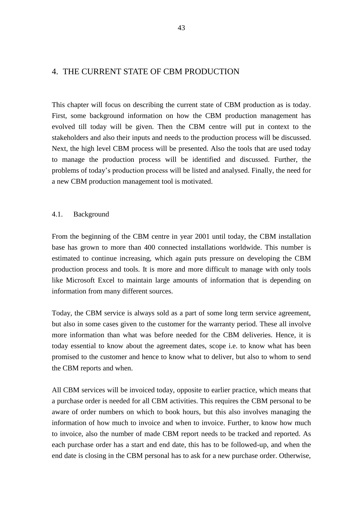# 4. THE CURRENT STATE OF CBM PRODUCTION

This chapter will focus on describing the current state of CBM production as is today. First, some background information on how the CBM production management has evolved till today will be given. Then the CBM centre will put in context to the stakeholders and also their inputs and needs to the production process will be discussed. Next, the high level CBM process will be presented. Also the tools that are used today to manage the production process will be identified and discussed. Further, the problems of today's production process will be listed and analysed. Finally, the need for a new CBM production management tool is motivated.

## 4.1. Background

From the beginning of the CBM centre in year 2001 until today, the CBM installation base has grown to more than 400 connected installations worldwide. This number is estimated to continue increasing, which again puts pressure on developing the CBM production process and tools. It is more and more difficult to manage with only tools like Microsoft Excel to maintain large amounts of information that is depending on information from many different sources.

Today, the CBM service is always sold as a part of some long term service agreement, but also in some cases given to the customer for the warranty period. These all involve more information than what was before needed for the CBM deliveries. Hence, it is today essential to know about the agreement dates, scope i.e. to know what has been promised to the customer and hence to know what to deliver, but also to whom to send the CBM reports and when.

All CBM services will be invoiced today, opposite to earlier practice, which means that a purchase order is needed for all CBM activities. This requires the CBM personal to be aware of order numbers on which to book hours, but this also involves managing the information of how much to invoice and when to invoice. Further, to know how much to invoice, also the number of made CBM report needs to be tracked and reported. As each purchase order has a start and end date, this has to be followed-up, and when the end date is closing in the CBM personal has to ask for a new purchase order. Otherwise,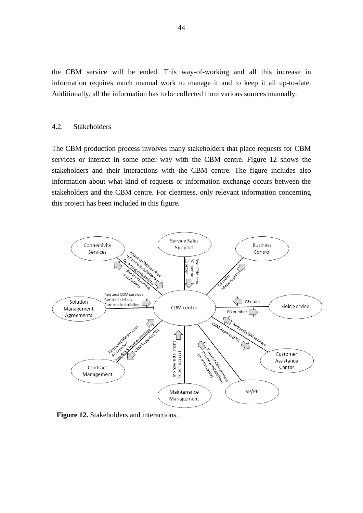the CBM service will be ended. This way-of-working and all this increase in information requires much manual work to manage it and to keep it all up-to-date. Additionally, all the information has to be collected from various sources manually.

#### 4.2. Stakeholders

The CBM production process involves many stakeholders that place requests for CBM services or interact in some other way with the CBM centre. Figure 12 shows the stakeholders and their interactions with the CBM centre. The figure includes also information about what kind of requests or information exchange occurs between the stakeholders and the CBM centre. For clearness, only relevant information concerning this project has been included in this figure.



**Figure 12.** Stakeholders and interactions.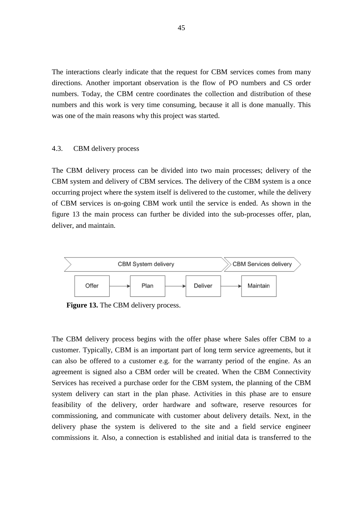The interactions clearly indicate that the request for CBM services comes from many directions. Another important observation is the flow of PO numbers and CS order numbers. Today, the CBM centre coordinates the collection and distribution of these numbers and this work is very time consuming, because it all is done manually. This was one of the main reasons why this project was started.

#### 4.3. CBM delivery process

The CBM delivery process can be divided into two main processes; delivery of the CBM system and delivery of CBM services. The delivery of the CBM system is a once occurring project where the system itself is delivered to the customer, while the delivery of CBM services is on-going CBM work until the service is ended. As shown in the figure 13 the main process can further be divided into the sub-processes offer, plan, deliver, and maintain.



**Figure 13.** The CBM delivery process.

The CBM delivery process begins with the offer phase where Sales offer CBM to a customer. Typically, CBM is an important part of long term service agreements, but it can also be offered to a customer e.g. for the warranty period of the engine. As an agreement is signed also a CBM order will be created. When the CBM Connectivity Services has received a purchase order for the CBM system, the planning of the CBM system delivery can start in the plan phase. Activities in this phase are to ensure feasibility of the delivery, order hardware and software, reserve resources for commissioning, and communicate with customer about delivery details. Next, in the delivery phase the system is delivered to the site and a field service engineer commissions it. Also, a connection is established and initial data is transferred to the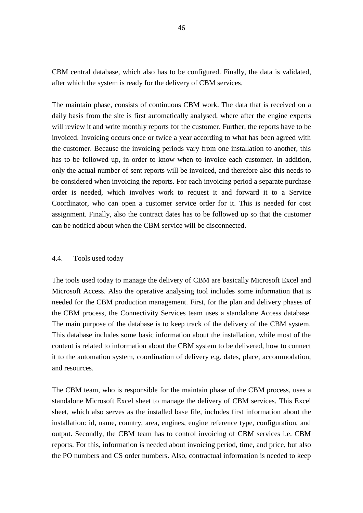CBM central database, which also has to be configured. Finally, the data is validated, after which the system is ready for the delivery of CBM services.

The maintain phase, consists of continuous CBM work. The data that is received on a daily basis from the site is first automatically analysed, where after the engine experts will review it and write monthly reports for the customer. Further, the reports have to be invoiced. Invoicing occurs once or twice a year according to what has been agreed with the customer. Because the invoicing periods vary from one installation to another, this has to be followed up, in order to know when to invoice each customer. In addition, only the actual number of sent reports will be invoiced, and therefore also this needs to be considered when invoicing the reports. For each invoicing period a separate purchase order is needed, which involves work to request it and forward it to a Service Coordinator, who can open a customer service order for it. This is needed for cost assignment. Finally, also the contract dates has to be followed up so that the customer can be notified about when the CBM service will be disconnected.

### 4.4. Tools used today

The tools used today to manage the delivery of CBM are basically Microsoft Excel and Microsoft Access. Also the operative analysing tool includes some information that is needed for the CBM production management. First, for the plan and delivery phases of the CBM process, the Connectivity Services team uses a standalone Access database. The main purpose of the database is to keep track of the delivery of the CBM system. This database includes some basic information about the installation, while most of the content is related to information about the CBM system to be delivered, how to connect it to the automation system, coordination of delivery e.g. dates, place, accommodation, and resources.

The CBM team, who is responsible for the maintain phase of the CBM process, uses a standalone Microsoft Excel sheet to manage the delivery of CBM services. This Excel sheet, which also serves as the installed base file, includes first information about the installation: id, name, country, area, engines, engine reference type, configuration, and output. Secondly, the CBM team has to control invoicing of CBM services i.e. CBM reports. For this, information is needed about invoicing period, time, and price, but also the PO numbers and CS order numbers. Also, contractual information is needed to keep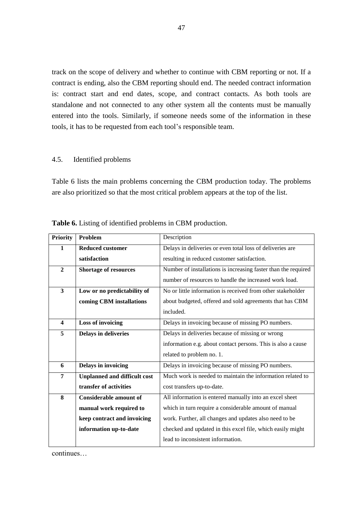track on the scope of delivery and whether to continue with CBM reporting or not. If a contract is ending, also the CBM reporting should end. The needed contract information is: contract start and end dates, scope, and contract contacts. As both tools are standalone and not connected to any other system all the contents must be manually entered into the tools. Similarly, if someone needs some of the information in these tools, it has to be requested from each tool's responsible team.

## 4.5. Identified problems

Table 6 lists the main problems concerning the CBM production today. The problems are also prioritized so that the most critical problem appears at the top of the list.

| <b>Priority</b>         | Problem                             | Description                                                    |
|-------------------------|-------------------------------------|----------------------------------------------------------------|
| $\mathbf{1}$            | <b>Reduced customer</b>             | Delays in deliveries or even total loss of deliveries are      |
|                         | satisfaction                        | resulting in reduced customer satisfaction.                    |
| $\mathbf{2}$            | <b>Shortage of resources</b>        | Number of installations is increasing faster than the required |
|                         |                                     | number of resources to handle the increased work load.         |
| $\overline{\mathbf{3}}$ | Low or no predictability of         | No or little information is received from other stakeholder    |
|                         | coming CBM installations            | about budgeted, offered and sold agreements that has CBM       |
|                         |                                     | included.                                                      |
| $\overline{\mathbf{4}}$ | <b>Loss of invoicing</b>            | Delays in invoicing because of missing PO numbers.             |
| 5                       | <b>Delays in deliveries</b>         | Delays in deliveries because of missing or wrong               |
|                         |                                     | information e.g. about contact persons. This is also a cause   |
|                         |                                     | related to problem no. 1.                                      |
| 6                       | Delays in invoicing                 | Delays in invoicing because of missing PO numbers.             |
| 7                       | <b>Unplanned and difficult cost</b> | Much work is needed to maintain the information related to     |
|                         | transfer of activities              | cost transfers up-to-date.                                     |
| 8                       | <b>Considerable amount of</b>       | All information is entered manually into an excel sheet        |
|                         | manual work required to             | which in turn require a considerable amount of manual          |
|                         | keep contract and invoicing         | work. Further, all changes and updates also need to be         |
|                         | information up-to-date              | checked and updated in this excel file, which easily might     |
|                         |                                     | lead to inconsistent information.                              |

**Table 6.** Listing of identified problems in CBM production.

continues…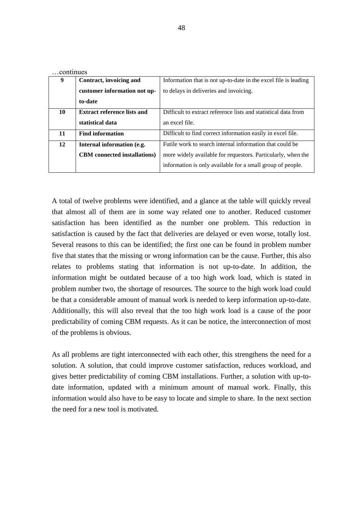| CONTINUES |                                     |                                                                 |
|-----------|-------------------------------------|-----------------------------------------------------------------|
| 9         | Contract, invoicing and             | Information that is not up-to-date in the excel file is leading |
|           | customer information not up-        | to delays in deliveries and invoicing.                          |
|           | to-date                             |                                                                 |
| 10        | <b>Extract reference lists and</b>  | Difficult to extract reference lists and statistical data from  |
|           | statistical data                    | an excel file.                                                  |
| 11        | <b>Find information</b>             | Difficult to find correct information easily in excel file.     |
| 12        | Internal information (e.g.          | Futile work to search internal information that could be        |
|           | <b>CBM</b> connected installations) | more widely available for requestors. Particularly, when the    |
|           |                                     | information is only available for a small group of people.      |

A total of twelve problems were identified, and a glance at the table will quickly reveal that almost all of them are in some way related one to another. Reduced customer satisfaction has been identified as the number one problem. This reduction in satisfaction is caused by the fact that deliveries are delayed or even worse, totally lost. Several reasons to this can be identified; the first one can be found in problem number five that states that the missing or wrong information can be the cause. Further, this also relates to problems stating that information is not up-to-date. In addition, the information might be outdated because of a too high work load, which is stated in problem number two, the shortage of resources. The source to the high work load could be that a considerable amount of manual work is needed to keep information up-to-date. Additionally, this will also reveal that the too high work load is a cause of the poor predictability of coming CBM requests. As it can be notice, the interconnection of most of the problems is obvious.

As all problems are tight interconnected with each other, this strengthens the need for a solution. A solution, that could improve customer satisfaction, reduces workload, and gives better predictability of coming CBM installations. Further, a solution with up-todate information, updated with a minimum amount of manual work. Finally, this information would also have to be easy to locate and simple to share. In the next section the need for a new tool is motivated.

…continues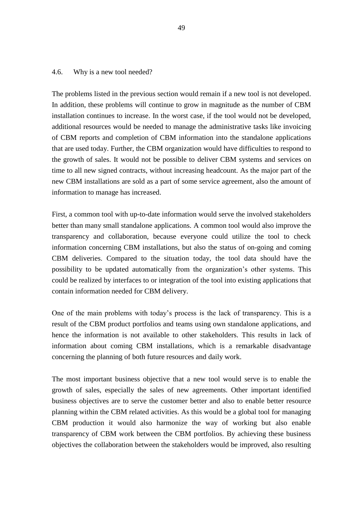#### 4.6. Why is a new tool needed?

The problems listed in the previous section would remain if a new tool is not developed. In addition, these problems will continue to grow in magnitude as the number of CBM installation continues to increase. In the worst case, if the tool would not be developed, additional resources would be needed to manage the administrative tasks like invoicing of CBM reports and completion of CBM information into the standalone applications that are used today. Further, the CBM organization would have difficulties to respond to the growth of sales. It would not be possible to deliver CBM systems and services on time to all new signed contracts, without increasing headcount. As the major part of the new CBM installations are sold as a part of some service agreement, also the amount of information to manage has increased.

First, a common tool with up-to-date information would serve the involved stakeholders better than many small standalone applications. A common tool would also improve the transparency and collaboration, because everyone could utilize the tool to check information concerning CBM installations, but also the status of on-going and coming CBM deliveries. Compared to the situation today, the tool data should have the possibility to be updated automatically from the organization's other systems. This could be realized by interfaces to or integration of the tool into existing applications that contain information needed for CBM delivery.

One of the main problems with today's process is the lack of transparency. This is a result of the CBM product portfolios and teams using own standalone applications, and hence the information is not available to other stakeholders. This results in lack of information about coming CBM installations, which is a remarkable disadvantage concerning the planning of both future resources and daily work.

The most important business objective that a new tool would serve is to enable the growth of sales, especially the sales of new agreements. Other important identified business objectives are to serve the customer better and also to enable better resource planning within the CBM related activities. As this would be a global tool for managing CBM production it would also harmonize the way of working but also enable transparency of CBM work between the CBM portfolios. By achieving these business objectives the collaboration between the stakeholders would be improved, also resulting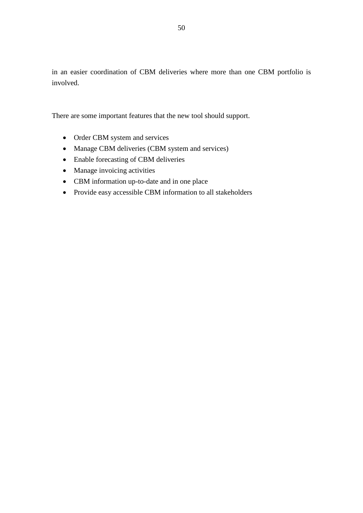in an easier coordination of CBM deliveries where more than one CBM portfolio is involved.

There are some important features that the new tool should support.

- Order CBM system and services
- Manage CBM deliveries (CBM system and services)
- Enable forecasting of CBM deliveries
- Manage invoicing activities
- CBM information up-to-date and in one place
- Provide easy accessible CBM information to all stakeholders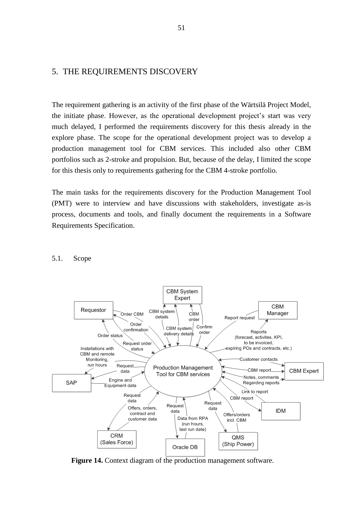# 5. THE REQUIREMENTS DISCOVERY

The requirement gathering is an activity of the first phase of the Wärtsilä Project Model, the initiate phase. However, as the operational development project's start was very much delayed, I performed the requirements discovery for this thesis already in the explore phase. The scope for the operational development project was to develop a production management tool for CBM services. This included also other CBM portfolios such as 2-stroke and propulsion. But, because of the delay, I limited the scope for this thesis only to requirements gathering for the CBM 4-stroke portfolio.

The main tasks for the requirements discovery for the Production Management Tool (PMT) were to interview and have discussions with stakeholders, investigate as-is process, documents and tools, and finally document the requirements in a Software Requirements Specification.

#### 5.1. Scope



**Figure 14.** Context diagram of the production management software.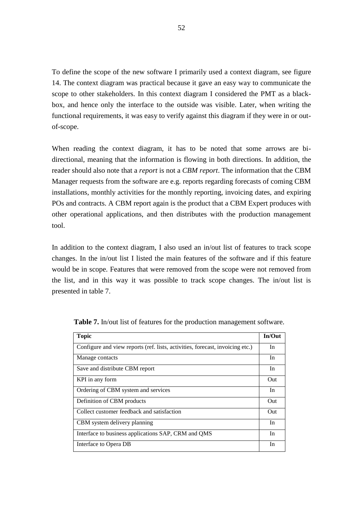To define the scope of the new software I primarily used a context diagram, see figure 14. The context diagram was practical because it gave an easy way to communicate the scope to other stakeholders. In this context diagram I considered the PMT as a blackbox, and hence only the interface to the outside was visible. Later, when writing the functional requirements, it was easy to verify against this diagram if they were in or outof-scope.

When reading the context diagram, it has to be noted that some arrows are bidirectional, meaning that the information is flowing in both directions. In addition, the reader should also note that a *report* is not a *CBM report*. The information that the CBM Manager requests from the software are e.g. reports regarding forecasts of coming CBM installations, monthly activities for the monthly reporting, invoicing dates, and expiring POs and contracts. A CBM report again is the product that a CBM Expert produces with other operational applications, and then distributes with the production management tool.

In addition to the context diagram, I also used an in/out list of features to track scope changes. In the in/out list I listed the main features of the software and if this feature would be in scope. Features that were removed from the scope were not removed from the list, and in this way it was possible to track scope changes. The in/out list is presented in table 7.

| <b>Topic</b>                                                                  | In/Out |
|-------------------------------------------------------------------------------|--------|
| Configure and view reports (ref. lists, activities, forecast, invoicing etc.) | In     |
| Manage contacts                                                               | In     |
| Save and distribute CBM report                                                | In     |
| KPI in any form                                                               | Out    |
| Ordering of CBM system and services                                           | In     |
| Definition of CBM products                                                    | Out    |
| Collect customer feedback and satisfaction                                    | Out    |
| CBM system delivery planning                                                  | In     |
| Interface to business applications SAP, CRM and QMS                           | In     |
| Interface to Opera DB                                                         | In     |

**Table 7.** In/out list of features for the production management software.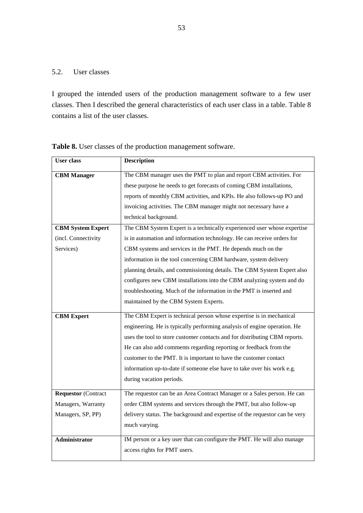# 5.2. User classes

I grouped the intended users of the production management software to a few user classes. Then I described the general characteristics of each user class in a table. Table 8 contains a list of the user classes.

| <b>User</b> class          | <b>Description</b>                                                         |
|----------------------------|----------------------------------------------------------------------------|
| <b>CBM</b> Manager         | The CBM manager uses the PMT to plan and report CBM activities. For        |
|                            | these purpose he needs to get forecasts of coming CBM installations,       |
|                            | reports of monthly CBM activities, and KPIs. He also follows-up PO and     |
|                            | invoicing activities. The CBM manager might not necessary have a           |
|                            | technical background.                                                      |
| <b>CBM System Expert</b>   | The CBM System Expert is a technically experienced user whose expertise    |
| (incl. Connectivity        | is in automation and information technology. He can receive orders for     |
| Services)                  | CBM systems and services in the PMT. He depends much on the                |
|                            | information in the tool concerning CBM hardware, system delivery           |
|                            | planning details, and commissioning details. The CBM System Expert also    |
|                            | configures new CBM installations into the CBM analyzing system and do      |
|                            | troubleshooting. Much of the information in the PMT is inserted and        |
|                            | maintained by the CBM System Experts.                                      |
| <b>CBM Expert</b>          | The CBM Expert is technical person whose expertise is in mechanical        |
|                            | engineering. He is typically performing analysis of engine operation. He   |
|                            | uses the tool to store customer contacts and for distributing CBM reports. |
|                            | He can also add comments regarding reporting or feedback from the          |
|                            | customer to the PMT. It is important to have the customer contact          |
|                            | information up-to-date if someone else have to take over his work e.g.     |
|                            | during vacation periods.                                                   |
| <b>Requestor (Contract</b> | The requestor can be an Area Contract Manager or a Sales person. He can    |
| Managers, Warranty         | order CBM systems and services through the PMT, but also follow-up         |
| Managers, SP, PP)          | delivery status. The background and expertise of the requestor can be very |
|                            | much varying.                                                              |
| <b>Administrator</b>       | IM person or a key user that can configure the PMT. He will also manage    |
|                            | access rights for PMT users.                                               |
|                            |                                                                            |

**Table 8.** User classes of the production management software.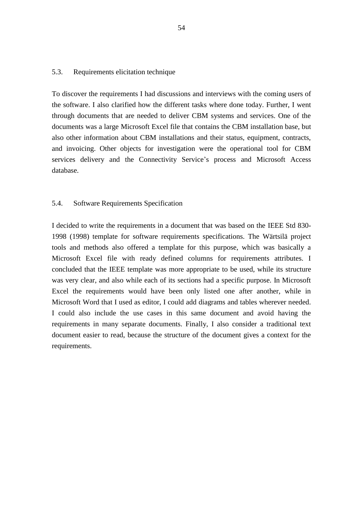# 5.3. Requirements elicitation technique

To discover the requirements I had discussions and interviews with the coming users of the software. I also clarified how the different tasks where done today. Further, I went through documents that are needed to deliver CBM systems and services. One of the documents was a large Microsoft Excel file that contains the CBM installation base, but also other information about CBM installations and their status, equipment, contracts, and invoicing. Other objects for investigation were the operational tool for CBM services delivery and the Connectivity Service's process and Microsoft Access database.

## 5.4. Software Requirements Specification

I decided to write the requirements in a document that was based on the IEEE Std 830- 1998 (1998) template for software requirements specifications. The Wärtsilä project tools and methods also offered a template for this purpose, which was basically a Microsoft Excel file with ready defined columns for requirements attributes. I concluded that the IEEE template was more appropriate to be used, while its structure was very clear, and also while each of its sections had a specific purpose. In Microsoft Excel the requirements would have been only listed one after another, while in Microsoft Word that I used as editor, I could add diagrams and tables wherever needed. I could also include the use cases in this same document and avoid having the requirements in many separate documents. Finally, I also consider a traditional text document easier to read, because the structure of the document gives a context for the requirements.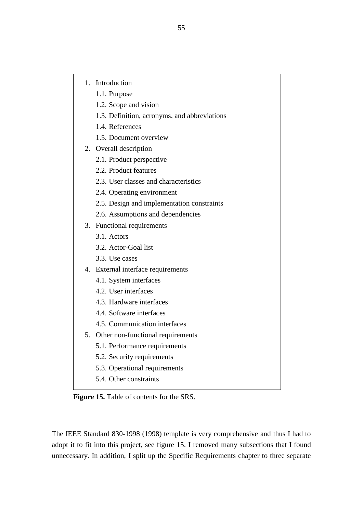- 1. Introduction
	- 1.1. Purpose
	- 1.2. Scope and vision
	- 1.3. Definition, acronyms, and abbreviations
	- 1.4. References
	- 1.5. Document overview
- 2. Overall description
	- 2.1. Product perspective
	- 2.2. Product features
	- 2.3. User classes and characteristics
	- 2.4. Operating environment
	- 2.5. Design and implementation constraints
	- 2.6. Assumptions and dependencies
- 3. Functional requirements
	- 3.1. Actors
	- 3.2. Actor-Goal list
	- 3.3. Use cases
- 4. External interface requirements
	- 4.1. System interfaces
	- 4.2. User interfaces
	- 4.3. Hardware interfaces
	- 4.4. Software interfaces
	- 4.5. Communication interfaces
- 5. Other non-functional requirements
	- 5.1. Performance requirements
	- 5.2. Security requirements
	- 5.3. Operational requirements
	- 5.4. Other constraints

**Figure 15.** Table of contents for the SRS.

The IEEE Standard 830-1998 (1998) template is very comprehensive and thus I had to adopt it to fit into this project, see figure 15. I removed many subsections that I found unnecessary. In addition, I split up the Specific Requirements chapter to three separate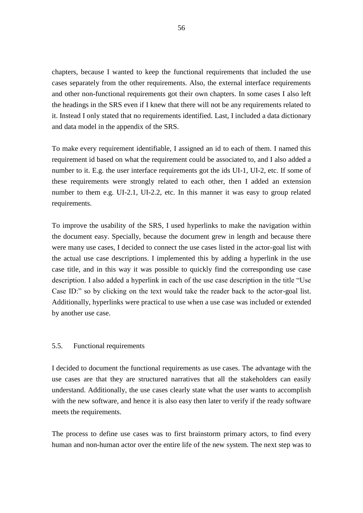chapters, because I wanted to keep the functional requirements that included the use cases separately from the other requirements. Also, the external interface requirements and other non-functional requirements got their own chapters. In some cases I also left the headings in the SRS even if I knew that there will not be any requirements related to it. Instead I only stated that no requirements identified. Last, I included a data dictionary and data model in the appendix of the SRS.

To make every requirement identifiable, I assigned an id to each of them. I named this requirement id based on what the requirement could be associated to, and I also added a number to it. E.g. the user interface requirements got the ids UI-1, UI-2, etc. If some of these requirements were strongly related to each other, then I added an extension number to them e.g. UI-2.1, UI-2.2, etc. In this manner it was easy to group related requirements.

To improve the usability of the SRS, I used hyperlinks to make the navigation within the document easy. Specially, because the document grew in length and because there were many use cases, I decided to connect the use cases listed in the actor-goal list with the actual use case descriptions. I implemented this by adding a hyperlink in the use case title, and in this way it was possible to quickly find the corresponding use case description. I also added a hyperlink in each of the use case description in the title "Use Case ID:" so by clicking on the text would take the reader back to the actor-goal list. Additionally, hyperlinks were practical to use when a use case was included or extended by another use case.

### 5.5. Functional requirements

I decided to document the functional requirements as use cases. The advantage with the use cases are that they are structured narratives that all the stakeholders can easily understand. Additionally, the use cases clearly state what the user wants to accomplish with the new software, and hence it is also easy then later to verify if the ready software meets the requirements.

The process to define use cases was to first brainstorm primary actors, to find every human and non-human actor over the entire life of the new system. The next step was to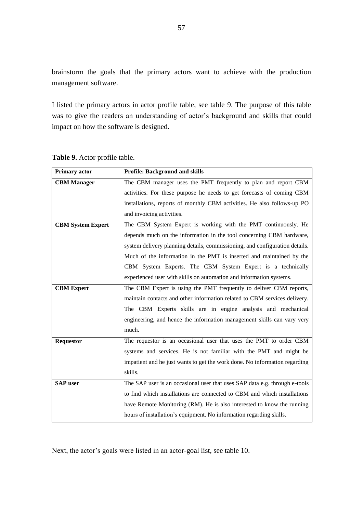brainstorm the goals that the primary actors want to achieve with the production management software.

I listed the primary actors in actor profile table, see table 9. The purpose of this table was to give the readers an understanding of actor's background and skills that could impact on how the software is designed.

| <b>Primary actor</b>     | <b>Profile: Background and skills</b>                                       |
|--------------------------|-----------------------------------------------------------------------------|
| <b>CBM Manager</b>       | The CBM manager uses the PMT frequently to plan and report CBM              |
|                          | activities. For these purpose he needs to get forecasts of coming CBM       |
|                          | installations, reports of monthly CBM activities. He also follows-up PO     |
|                          | and invoicing activities.                                                   |
| <b>CBM System Expert</b> | The CBM System Expert is working with the PMT continuously. He              |
|                          | depends much on the information in the tool concerning CBM hardware,        |
|                          | system delivery planning details, commissioning, and configuration details. |
|                          | Much of the information in the PMT is inserted and maintained by the        |
|                          | CBM System Experts. The CBM System Expert is a technically                  |
|                          | experienced user with skills on automation and information systems.         |
| <b>CBM Expert</b>        | The CBM Expert is using the PMT frequently to deliver CBM reports,          |
|                          | maintain contacts and other information related to CBM services delivery.   |
|                          | The CBM Experts skills are in engine analysis and mechanical                |
|                          | engineering, and hence the information management skills can vary very      |
|                          | much.                                                                       |
| <b>Requestor</b>         | The requestor is an occasional user that uses the PMT to order CBM          |
|                          | systems and services. He is not familiar with the PMT and might be          |
|                          | impatient and he just wants to get the work done. No information regarding  |
|                          | skills.                                                                     |
| <b>SAP</b> user          | The SAP user is an occasional user that uses SAP data e.g. through e-tools  |
|                          | to find which installations are connected to CBM and which installations    |
|                          | have Remote Monitoring (RM). He is also interested to know the running      |
|                          | hours of installation's equipment. No information regarding skills.         |

**Table 9.** Actor profile table.

Next, the actor's goals were listed in an actor-goal list, see table 10.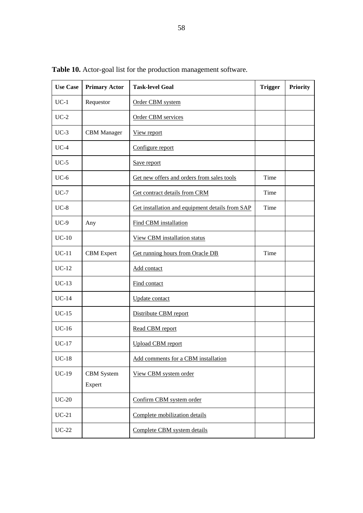| Table 10. Actor-goal list for the production management software. |                      |                                                 |                |          |  |
|-------------------------------------------------------------------|----------------------|-------------------------------------------------|----------------|----------|--|
| <b>Use Case</b>                                                   | <b>Primary Actor</b> | <b>Task-level Goal</b>                          | <b>Trigger</b> | Priority |  |
| $UC-1$                                                            | Requestor            | Order CBM system                                |                |          |  |
| $UC-2$                                                            |                      | Order CBM services                              |                |          |  |
| $UC-3$                                                            | <b>CBM</b> Manager   | View report                                     |                |          |  |
| $UC-4$                                                            |                      | Configure report                                |                |          |  |
| $UC-5$                                                            |                      | Save report                                     |                |          |  |
| $UC-6$                                                            |                      | Get new offers and orders from sales tools      | Time           |          |  |
| $UC-7$                                                            |                      | Get contract details from CRM                   | Time           |          |  |
| $UC-8$                                                            |                      | Get installation and equipment details from SAP | Time           |          |  |
| $UC-9$                                                            | Any                  | Find CBM installation                           |                |          |  |
| $UC-10$                                                           |                      | <b>View CBM</b> installation status             |                |          |  |
| $UC-11$                                                           | <b>CBM</b> Expert    | Get running hours from Oracle DB                | Time           |          |  |
| $UC-12$                                                           |                      | Add contact                                     |                |          |  |
| $UC-13$                                                           |                      | Find contact                                    |                |          |  |
| $UC-14$                                                           |                      | <b>Update</b> contact                           |                |          |  |
| $UC-15$                                                           |                      | Distribute CBM report                           |                |          |  |
| $UC-16$                                                           |                      | Read CBM report                                 |                |          |  |
|                                                                   |                      |                                                 |                |          |  |

58

**Table 10.** Actor-goal list for the production management software.

UC-17 Upload CBM report

UC-19 | CBM System

Expert

UC-18 | Add comments for a CBM installation

UC-20 Confirm CBM system order

UC-21 Complete mobilization details

UC-22 Complete CBM system details

View CBM system order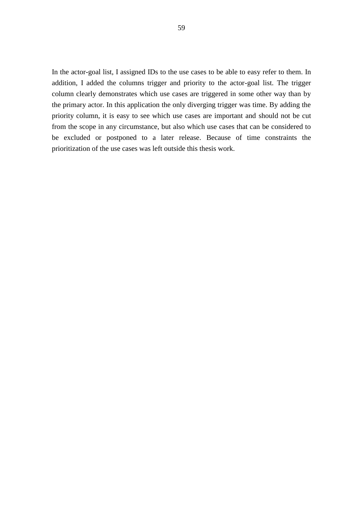In the actor-goal list, I assigned IDs to the use cases to be able to easy refer to them. In addition, I added the columns trigger and priority to the actor-goal list. The trigger column clearly demonstrates which use cases are triggered in some other way than by the primary actor. In this application the only diverging trigger was time. By adding the priority column, it is easy to see which use cases are important and should not be cut from the scope in any circumstance, but also which use cases that can be considered to be excluded or postponed to a later release. Because of time constraints the prioritization of the use cases was left outside this thesis work.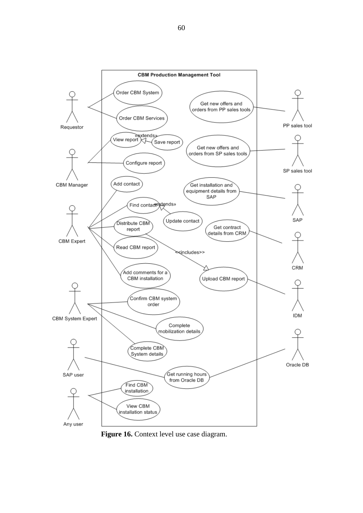

**Figure 16.** Context level use case diagram.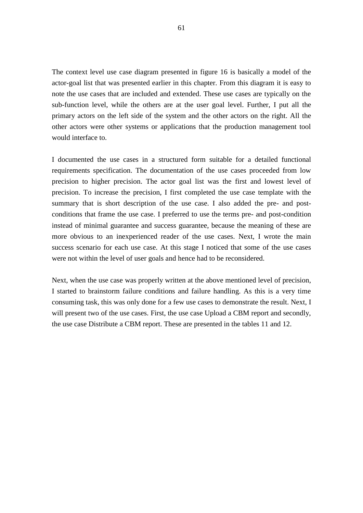The context level use case diagram presented in figure 16 is basically a model of the actor-goal list that was presented earlier in this chapter. From this diagram it is easy to note the use cases that are included and extended. These use cases are typically on the sub-function level, while the others are at the user goal level. Further, I put all the primary actors on the left side of the system and the other actors on the right. All the other actors were other systems or applications that the production management tool would interface to.

I documented the use cases in a structured form suitable for a detailed functional requirements specification. The documentation of the use cases proceeded from low precision to higher precision. The actor goal list was the first and lowest level of precision. To increase the precision, I first completed the use case template with the summary that is short description of the use case. I also added the pre- and postconditions that frame the use case. I preferred to use the terms pre- and post-condition instead of minimal guarantee and success guarantee, because the meaning of these are more obvious to an inexperienced reader of the use cases. Next, I wrote the main success scenario for each use case. At this stage I noticed that some of the use cases were not within the level of user goals and hence had to be reconsidered.

Next, when the use case was properly written at the above mentioned level of precision, I started to brainstorm failure conditions and failure handling. As this is a very time consuming task, this was only done for a few use cases to demonstrate the result. Next, I will present two of the use cases. First, the use case Upload a CBM report and secondly, the use case Distribute a CBM report. These are presented in the tables 11 and 12.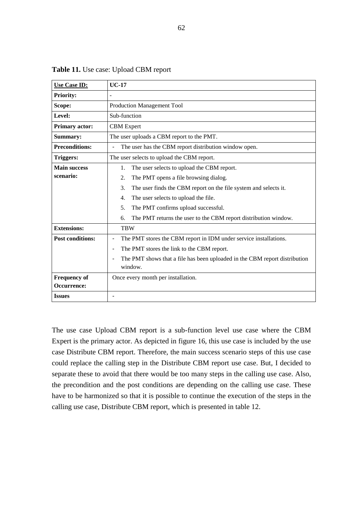| <b>Use Case ID:</b>     | <b>UC-17</b>                                                                                |
|-------------------------|---------------------------------------------------------------------------------------------|
| <b>Priority:</b>        | $\overline{a}$                                                                              |
| Scope:                  | Production Management Tool                                                                  |
| Level:                  | Sub-function                                                                                |
| <b>Primary actor:</b>   | <b>CBM</b> Expert                                                                           |
| Summary:                | The user uploads a CBM report to the PMT.                                                   |
| <b>Preconditions:</b>   | The user has the CBM report distribution window open.<br>Ē,                                 |
| <b>Triggers:</b>        | The user selects to upload the CBM report.                                                  |
| <b>Main success</b>     | The user selects to upload the CBM report.<br>1.                                            |
| scenario:               | 2.<br>The PMT opens a file browsing dialog.                                                 |
|                         | 3.<br>The user finds the CBM report on the file system and selects it.                      |
|                         | The user selects to upload the file.<br>4.                                                  |
|                         | The PMT confirms upload successful.<br>5.                                                   |
|                         | The PMT returns the user to the CBM report distribution window.<br>6.                       |
| <b>Extensions:</b>      | <b>TRW</b>                                                                                  |
| <b>Post conditions:</b> | The PMT stores the CBM report in IDM under service installations.<br>۰                      |
|                         | The PMT stores the link to the CBM report.<br>۰                                             |
|                         | The PMT shows that a file has been uploaded in the CBM report distribution<br>ä,<br>window. |
| <b>Frequency of</b>     | Once every month per installation.                                                          |
| Occurrence:             |                                                                                             |
| <b>Issues</b>           | $\blacksquare$                                                                              |

**Table 11.** Use case: Upload CBM report

The use case Upload CBM report is a sub-function level use case where the CBM Expert is the primary actor. As depicted in figure 16, this use case is included by the use case Distribute CBM report. Therefore, the main success scenario steps of this use case could replace the calling step in the Distribute CBM report use case. But, I decided to separate these to avoid that there would be too many steps in the calling use case. Also, the precondition and the post conditions are depending on the calling use case. These have to be harmonized so that it is possible to continue the execution of the steps in the calling use case, Distribute CBM report, which is presented in table 12.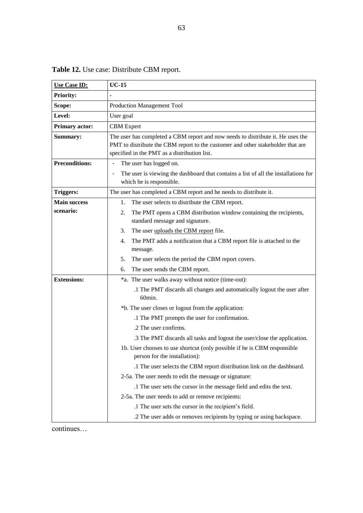| <b>Use Case ID:</b>   | $UC-15$                                                                                                                                                                                                            |
|-----------------------|--------------------------------------------------------------------------------------------------------------------------------------------------------------------------------------------------------------------|
| <b>Priority:</b>      |                                                                                                                                                                                                                    |
| Scope:                | <b>Production Management Tool</b>                                                                                                                                                                                  |
| Level:                | User goal                                                                                                                                                                                                          |
| <b>Primary actor:</b> | <b>CBM</b> Expert                                                                                                                                                                                                  |
| Summary:              | The user has completed a CBM report and now needs to distribute it. He uses the<br>PMT to distribute the CBM report to the customer and other stakeholder that are<br>specified in the PMT as a distribution list. |
| <b>Preconditions:</b> | The user has logged on.<br>$\qquad \qquad \blacksquare$                                                                                                                                                            |
|                       | The user is viewing the dashboard that contains a list of all the installations for<br>which he is responsible.                                                                                                    |
| <b>Triggers:</b>      | The user has completed a CBM report and he needs to distribute it.                                                                                                                                                 |
| <b>Main success</b>   | 1.<br>The user selects to distribute the CBM report.                                                                                                                                                               |
| scenario:             | The PMT opens a CBM distribution window containing the recipients,<br>2.<br>standard message and signature.                                                                                                        |
|                       | 3.<br>The user uploads the CBM report file.                                                                                                                                                                        |
|                       | The PMT adds a notification that a CBM report file is attached to the<br>4.<br>message.                                                                                                                            |
|                       | 5.<br>The user selects the period the CBM report covers.                                                                                                                                                           |
|                       | The user sends the CBM report.<br>6.                                                                                                                                                                               |
| <b>Extensions:</b>    | *a. The user walks away without notice (time-out):                                                                                                                                                                 |
|                       | .1 The PMT discards all changes and automatically logout the user after<br>60min.                                                                                                                                  |
|                       | *b. The user closes or logout from the application:                                                                                                                                                                |
|                       | .1 The PMT prompts the user for confirmation.                                                                                                                                                                      |
|                       | .2 The user confirms.                                                                                                                                                                                              |
|                       | .3 The PMT discards all tasks and logout the user/close the application.                                                                                                                                           |
|                       | 1b. User chooses to use shortcut (only possible if he is CBM responsible<br>person for the installation):                                                                                                          |
|                       | .1 The user selects the CBM report distribution link on the dashboard.                                                                                                                                             |
|                       | 2-5a. The user needs to edit the message or signature:                                                                                                                                                             |
|                       | .1 The user sets the cursor in the message field and edits the text.                                                                                                                                               |
|                       | 2-5a. The user needs to add or remove recipients:                                                                                                                                                                  |
|                       | .1 The user sets the cursor in the recipient's field.                                                                                                                                                              |
|                       | .2 The user adds or removes recipients by typing or using backspace.                                                                                                                                               |

**Table 12.** Use case: Distribute CBM report.

continues…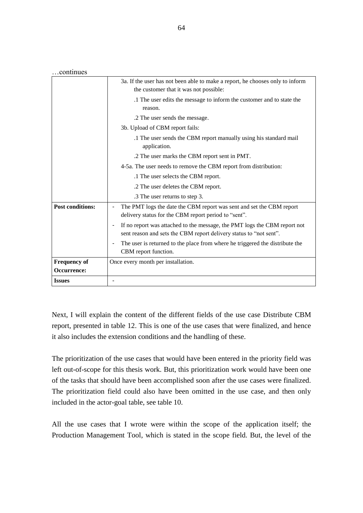…continues

|                         | 3a. If the user has not been able to make a report, he chooses only to inform<br>the customer that it was not possible:                         |
|-------------------------|-------------------------------------------------------------------------------------------------------------------------------------------------|
|                         | .1 The user edits the message to inform the customer and to state the<br>reason.                                                                |
|                         | .2 The user sends the message.                                                                                                                  |
|                         | 3b. Upload of CBM report fails:                                                                                                                 |
|                         | .1 The user sends the CBM report manually using his standard mail<br>application.                                                               |
|                         | .2 The user marks the CBM report sent in PMT.                                                                                                   |
|                         | 4-5a. The user needs to remove the CBM report from distribution:                                                                                |
|                         | .1 The user selects the CBM report.                                                                                                             |
|                         | .2 The user deletes the CBM report.                                                                                                             |
|                         | .3 The user returns to step 3.                                                                                                                  |
| <b>Post conditions:</b> | The PMT logs the date the CBM report was sent and set the CBM report<br>delivery status for the CBM report period to "sent".                    |
|                         | If no report was attached to the message, the PMT logs the CBM report not<br>sent reason and sets the CBM report delivery status to "not sent". |
|                         | The user is returned to the place from where he triggered the distribute the<br>CBM report function.                                            |
| <b>Frequency of</b>     | Once every month per installation.                                                                                                              |
| Occurrence:             |                                                                                                                                                 |
| <b>Issues</b>           |                                                                                                                                                 |

Next, I will explain the content of the different fields of the use case Distribute CBM report, presented in table 12. This is one of the use cases that were finalized, and hence it also includes the extension conditions and the handling of these.

The prioritization of the use cases that would have been entered in the priority field was left out-of-scope for this thesis work. But, this prioritization work would have been one of the tasks that should have been accomplished soon after the use cases were finalized. The prioritization field could also have been omitted in the use case, and then only included in the actor-goal table, see table 10.

All the use cases that I wrote were within the scope of the application itself; the Production Management Tool, which is stated in the scope field. But, the level of the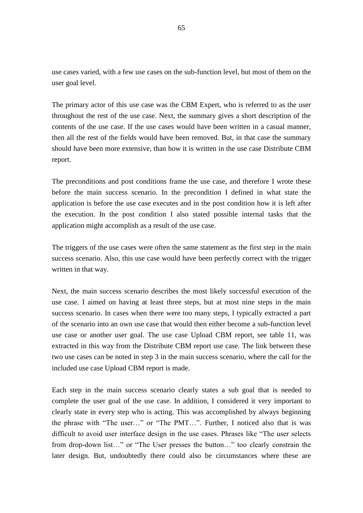use cases varied, with a few use cases on the sub-function level, but most of them on the user goal level.

The primary actor of this use case was the CBM Expert, who is referred to as the user throughout the rest of the use case. Next, the summary gives a short description of the contents of the use case. If the use cases would have been written in a casual manner, then all the rest of the fields would have been removed. But, in that case the summary should have been more extensive, than how it is written in the use case Distribute CBM report.

The preconditions and post conditions frame the use case, and therefore I wrote these before the main success scenario. In the precondition I defined in what state the application is before the use case executes and in the post condition how it is left after the execution. In the post condition I also stated possible internal tasks that the application might accomplish as a result of the use case.

The triggers of the use cases were often the same statement as the first step in the main success scenario. Also, this use case would have been perfectly correct with the trigger written in that way.

Next, the main success scenario describes the most likely successful execution of the use case. I aimed on having at least three steps, but at most nine steps in the main success scenario. In cases when there were too many steps, I typically extracted a part of the scenario into an own use case that would then either become a sub-function level use case or another user goal. The use case Upload CBM report, see table 11, was extracted in this way from the Distribute CBM report use case. The link between these two use cases can be noted in step 3 in the main success scenario, where the call for the included use case Upload CBM report is made.

Each step in the main success scenario clearly states a sub goal that is needed to complete the user goal of the use case. In addition, I considered it very important to clearly state in every step who is acting. This was accomplished by always beginning the phrase with "The user…" or "The PMT…". Further, I noticed also that is was difficult to avoid user interface design in the use cases. Phrases like "The user selects from drop-down list…" or "The User presses the button…" too clearly constrain the later design. But, undoubtedly there could also be circumstances where these are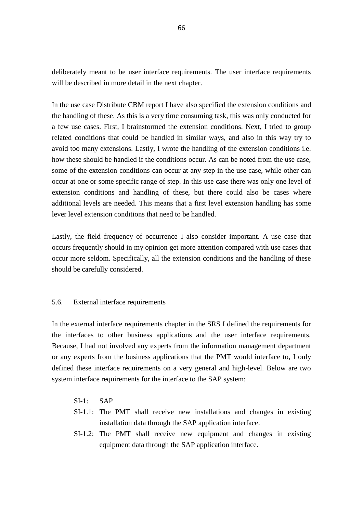deliberately meant to be user interface requirements. The user interface requirements will be described in more detail in the next chapter.

In the use case Distribute CBM report I have also specified the extension conditions and the handling of these. As this is a very time consuming task, this was only conducted for a few use cases. First, I brainstormed the extension conditions. Next, I tried to group related conditions that could be handled in similar ways, and also in this way try to avoid too many extensions. Lastly, I wrote the handling of the extension conditions i.e. how these should be handled if the conditions occur. As can be noted from the use case, some of the extension conditions can occur at any step in the use case, while other can occur at one or some specific range of step. In this use case there was only one level of extension conditions and handling of these, but there could also be cases where additional levels are needed. This means that a first level extension handling has some lever level extension conditions that need to be handled.

Lastly, the field frequency of occurrence I also consider important. A use case that occurs frequently should in my opinion get more attention compared with use cases that occur more seldom. Specifically, all the extension conditions and the handling of these should be carefully considered.

## 5.6. External interface requirements

In the external interface requirements chapter in the SRS I defined the requirements for the interfaces to other business applications and the user interface requirements. Because, I had not involved any experts from the information management department or any experts from the business applications that the PMT would interface to, I only defined these interface requirements on a very general and high-level. Below are two system interface requirements for the interface to the SAP system:

- $SI-1:$  SAP
- SI-1.1: The PMT shall receive new installations and changes in existing installation data through the SAP application interface.
- SI-1.2: The PMT shall receive new equipment and changes in existing equipment data through the SAP application interface.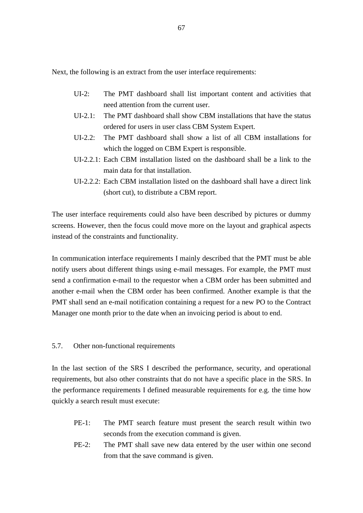Next, the following is an extract from the user interface requirements:

- UI-2: The PMT dashboard shall list important content and activities that need attention from the current user.
- UI-2.1: The PMT dashboard shall show CBM installations that have the status ordered for users in user class CBM System Expert.
- UI-2.2: The PMT dashboard shall show a list of all CBM installations for which the logged on CBM Expert is responsible.
- UI-2.2.1: Each CBM installation listed on the dashboard shall be a link to the main data for that installation.
- UI-2.2.2: Each CBM installation listed on the dashboard shall have a direct link (short cut), to distribute a CBM report.

The user interface requirements could also have been described by pictures or dummy screens. However, then the focus could move more on the layout and graphical aspects instead of the constraints and functionality.

In communication interface requirements I mainly described that the PMT must be able notify users about different things using e-mail messages. For example, the PMT must send a confirmation e-mail to the requestor when a CBM order has been submitted and another e-mail when the CBM order has been confirmed. Another example is that the PMT shall send an e-mail notification containing a request for a new PO to the Contract Manager one month prior to the date when an invoicing period is about to end.

## 5.7. Other non-functional requirements

In the last section of the SRS I described the performance, security, and operational requirements, but also other constraints that do not have a specific place in the SRS. In the performance requirements I defined measurable requirements for e.g. the time how quickly a search result must execute:

- PE-1: The PMT search feature must present the search result within two seconds from the execution command is given.
- PE-2: The PMT shall save new data entered by the user within one second from that the save command is given.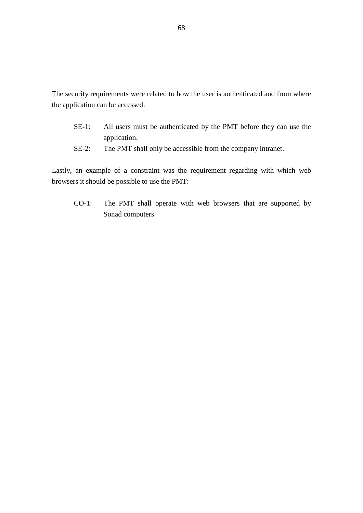The security requirements were related to how the user is authenticated and from where the application can be accessed:

- SE-1: All users must be authenticated by the PMT before they can use the application.
- SE-2: The PMT shall only be accessible from the company intranet.

Lastly, an example of a constraint was the requirement regarding with which web browsers it should be possible to use the PMT:

CO-1: The PMT shall operate with web browsers that are supported by Sonad computers.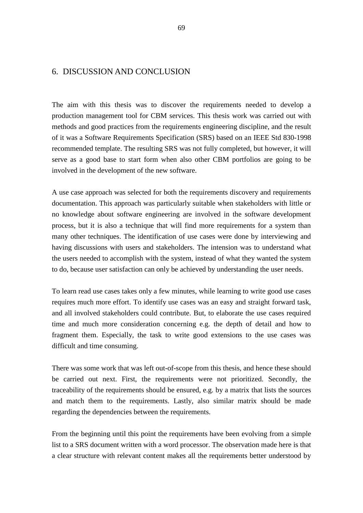## 6. DISCUSSION AND CONCLUSION

The aim with this thesis was to discover the requirements needed to develop a production management tool for CBM services. This thesis work was carried out with methods and good practices from the requirements engineering discipline, and the result of it was a Software Requirements Specification (SRS) based on an IEEE Std 830-1998 recommended template. The resulting SRS was not fully completed, but however, it will serve as a good base to start form when also other CBM portfolios are going to be involved in the development of the new software.

A use case approach was selected for both the requirements discovery and requirements documentation. This approach was particularly suitable when stakeholders with little or no knowledge about software engineering are involved in the software development process, but it is also a technique that will find more requirements for a system than many other techniques. The identification of use cases were done by interviewing and having discussions with users and stakeholders. The intension was to understand what the users needed to accomplish with the system, instead of what they wanted the system to do, because user satisfaction can only be achieved by understanding the user needs.

To learn read use cases takes only a few minutes, while learning to write good use cases requires much more effort. To identify use cases was an easy and straight forward task, and all involved stakeholders could contribute. But, to elaborate the use cases required time and much more consideration concerning e.g. the depth of detail and how to fragment them. Especially, the task to write good extensions to the use cases was difficult and time consuming.

There was some work that was left out-of-scope from this thesis, and hence these should be carried out next. First, the requirements were not prioritized. Secondly, the traceability of the requirements should be ensured, e.g. by a matrix that lists the sources and match them to the requirements. Lastly, also similar matrix should be made regarding the dependencies between the requirements.

From the beginning until this point the requirements have been evolving from a simple list to a SRS document written with a word processor. The observation made here is that a clear structure with relevant content makes all the requirements better understood by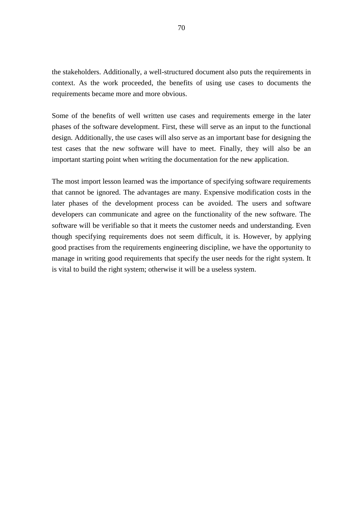the stakeholders. Additionally, a well-structured document also puts the requirements in context. As the work proceeded, the benefits of using use cases to documents the requirements became more and more obvious.

Some of the benefits of well written use cases and requirements emerge in the later phases of the software development. First, these will serve as an input to the functional design. Additionally, the use cases will also serve as an important base for designing the test cases that the new software will have to meet. Finally, they will also be an important starting point when writing the documentation for the new application.

The most import lesson learned was the importance of specifying software requirements that cannot be ignored. The advantages are many. Expensive modification costs in the later phases of the development process can be avoided. The users and software developers can communicate and agree on the functionality of the new software. The software will be verifiable so that it meets the customer needs and understanding. Even though specifying requirements does not seem difficult, it is. However, by applying good practises from the requirements engineering discipline, we have the opportunity to manage in writing good requirements that specify the user needs for the right system. It is vital to build the right system; otherwise it will be a useless system.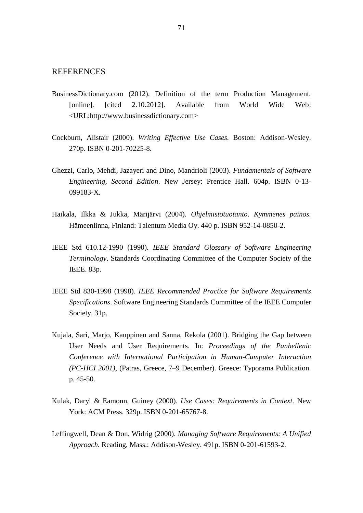## **REFERENCES**

- BusinessDictionary.com (2012). Definition of the term Production Management. [online]. [cited 2.10.2012]. Available from World Wide Web: <URL:http://www.businessdictionary.com>
- Cockburn, Alistair (2000). *Writing Effective Use Cases.* Boston: Addison-Wesley. 270p. ISBN 0-201-70225-8.
- Ghezzi, Carlo, Mehdi, Jazayeri and Dino, Mandrioli (2003). *Fundamentals of Software Engineering, Second Edition*. New Jersey: Prentice Hall. 604p. ISBN 0-13- 099183-X.
- Haikala, Ilkka & Jukka, Märijärvi (2004). *Ohjelmistotuotanto*. *Kymmenes painos.* Hämeenlinna, Finland: Talentum Media Oy. 440 p. ISBN 952-14-0850-2.
- IEEE Std 610.12-1990 (1990). *IEEE Standard Glossary of Software Engineering Terminology*. Standards Coordinating Committee of the Computer Society of the IEEE. 83p.
- IEEE Std 830-1998 (1998). *IEEE Recommended Practice for Software Requirements Specifications*. Software Engineering Standards Committee of the IEEE Computer Society. 31p.
- Kujala, Sari, Marjo, Kauppinen and Sanna, Rekola (2001). Bridging the Gap between User Needs and User Requirements. In: *Proceedings of the Panhellenic Conference with International Participation in Human-Cumputer Interaction (PC-HCI 2001),* (Patras, Greece, 7–9 December). Greece: Typorama Publication. p. 45-50.
- Kulak, Daryl & Eamonn, Guiney (2000). *Use Cases: Requirements in Context.* New York: ACM Press. 329p. ISBN 0-201-65767-8.
- Leffingwell, Dean & Don, Widrig (2000). *Managing Software Requirements: A Unified Approach.* Reading, Mass.: Addison-Wesley. 491p. ISBN 0-201-61593-2.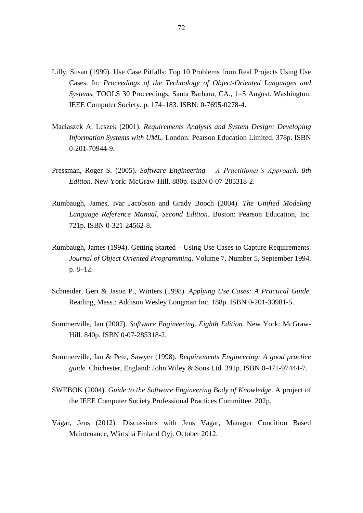- Lilly, Susan (1999). Use Case Pitfalls: Top 10 Problems from Real Projects Using Use Cases. In: *Proceedings of the Technology of Object-Oriented Languages and Systems.* TOOLS 30 Proceedings, Santa Barbara, CA., 1–5 August. Washington: IEEE Computer Society. p. 174–183. ISBN: 0-7695-0278-4.
- Maciaszek A. Leszek (2001). *Requirements Analysis and System Design: Developing Information Systems with UML.* London: Pearson Education Limited. 378p. ISBN 0-201-70944-9.
- Pressman, Roger S. (2005). *Software Engineering A Practitioner's Approach*. *8th Edition.* New York: McGraw-Hill. 880p. ISBN 0-07-285318-2.
- Rumbaugh, James, Ivar Jacobson and Grady Booch (2004). *The Unified Modeling Language Reference Manual, Second Edition.* Boston: Pearson Education, Inc. 721p. ISBN 0-321-24562-8.
- Rumbaugh, James (1994). Getting Started Using Use Cases to Capture Requirements. *Journal of Object Oriented Programming*. Volume 7, Number 5, September 1994. p. 8–12.
- Schneider, Geri & Jason P., Winters (1998). *Applying Use Cases: A Practical Guide.* Reading, Mass.: Addison Wesley Longman Inc. 188p. ISBN 0-201-30981-5.
- Sommerville, Ian (2007). *Software Engineering*. *Eighth Edition.* New York: McGraw-Hill. 840p. ISBN 0-07-285318-2.
- Sommerville, Ian & Pete, Sawyer (1998). *Requirements Engineering: A good practice guide.* Chichester, England: John Wiley & Sons Ltd. 391p. ISBN 0-471-97444-7.
- SWEBOK (2004). *Guide to the Software Engineering Body of Knowledge*. A project of the IEEE Computer Society Professional Practices Committee. 202p.
- Vägar, Jens (2012). Discussions with Jens Vägar, Manager Condition Based Maintenance, Wärtsilä Finland Oyj. October 2012.